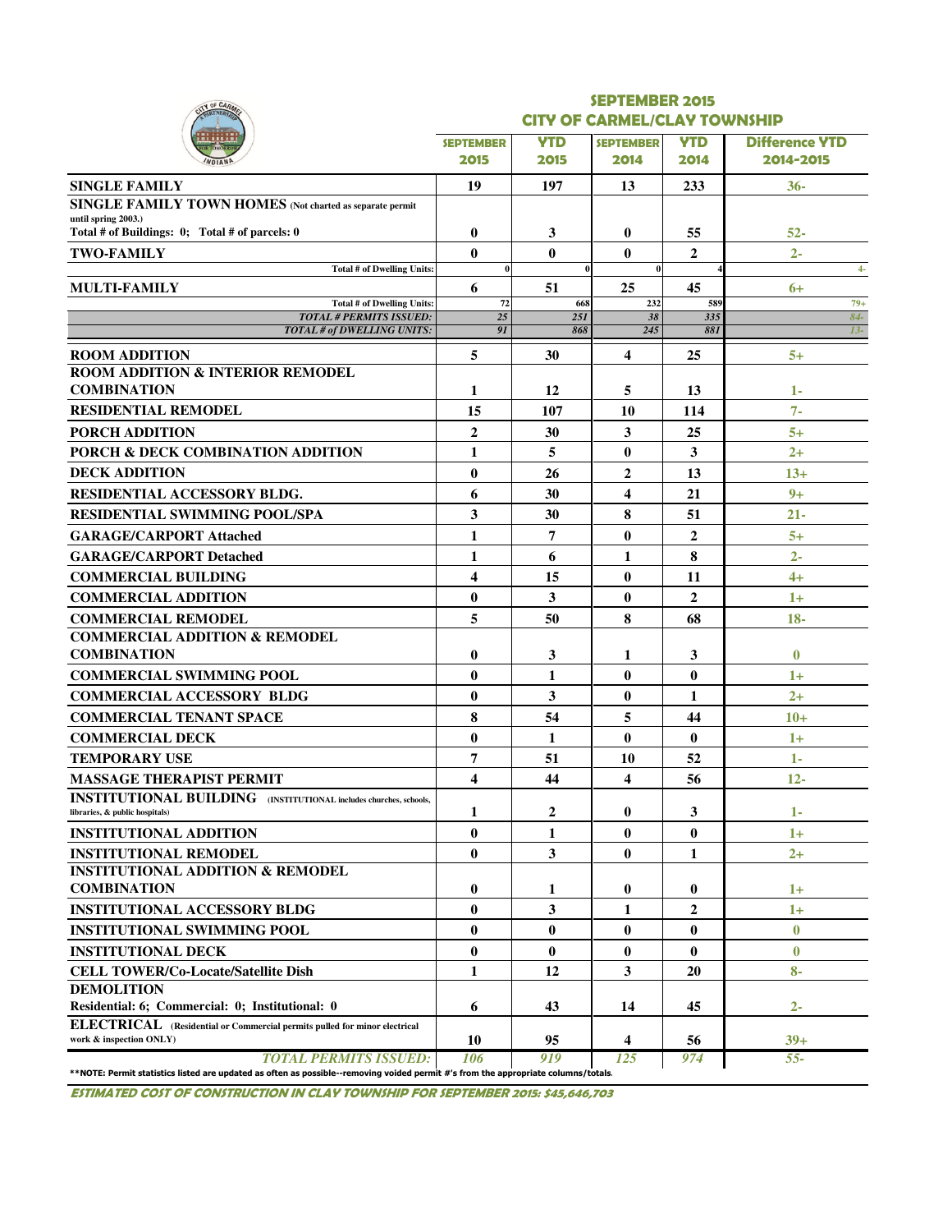| <b>SEPTEMBER</b><br>2015<br>19<br>$\bf{0}$<br>$\bf{0}$<br>$\bf{0}$<br>6<br>72 | <b>CITY OF CARMEL/CLAY TOWNSHIP</b><br><b>YTD</b><br>2015<br>197<br>3<br>$\bf{0}$                                                                                                                                                                       | <b>SEPTEMBER</b><br>2014<br>13<br>$\bf{0}$ | <b>YTD</b><br>2014<br>233 | <b>Difference YTD</b><br>2014-2015<br>$36-$                                                                                                     |
|-------------------------------------------------------------------------------|---------------------------------------------------------------------------------------------------------------------------------------------------------------------------------------------------------------------------------------------------------|--------------------------------------------|---------------------------|-------------------------------------------------------------------------------------------------------------------------------------------------|
|                                                                               |                                                                                                                                                                                                                                                         |                                            |                           |                                                                                                                                                 |
|                                                                               |                                                                                                                                                                                                                                                         |                                            |                           |                                                                                                                                                 |
|                                                                               |                                                                                                                                                                                                                                                         |                                            |                           |                                                                                                                                                 |
|                                                                               |                                                                                                                                                                                                                                                         |                                            |                           |                                                                                                                                                 |
|                                                                               |                                                                                                                                                                                                                                                         |                                            |                           |                                                                                                                                                 |
|                                                                               |                                                                                                                                                                                                                                                         |                                            | 55                        | 52-                                                                                                                                             |
|                                                                               |                                                                                                                                                                                                                                                         | $\bf{0}$                                   | $\overline{2}$            | $2 -$                                                                                                                                           |
|                                                                               |                                                                                                                                                                                                                                                         | $\bf{0}$                                   |                           | $4-$                                                                                                                                            |
|                                                                               | 51                                                                                                                                                                                                                                                      | 25                                         | 45                        | $6+$                                                                                                                                            |
| $\overline{25}$                                                               | 668<br>25I                                                                                                                                                                                                                                              | 232<br>38                                  | 589<br>335                | $79+$<br>$84-$                                                                                                                                  |
| 91                                                                            | 868                                                                                                                                                                                                                                                     | 245                                        | 881                       | $13-$                                                                                                                                           |
| 5                                                                             | 30                                                                                                                                                                                                                                                      | 4                                          | 25                        | $5+$                                                                                                                                            |
|                                                                               |                                                                                                                                                                                                                                                         |                                            |                           |                                                                                                                                                 |
|                                                                               | 12                                                                                                                                                                                                                                                      | 5                                          | 13                        | $1-$                                                                                                                                            |
|                                                                               | 107                                                                                                                                                                                                                                                     | 10                                         | 114                       | $7 -$                                                                                                                                           |
|                                                                               | 30                                                                                                                                                                                                                                                      | $\mathbf{3}$                               | 25                        | $5+$                                                                                                                                            |
|                                                                               | 5                                                                                                                                                                                                                                                       | $\bf{0}$                                   | 3                         | $2+$                                                                                                                                            |
|                                                                               | 26                                                                                                                                                                                                                                                      | $\overline{2}$                             | 13                        | $13+$                                                                                                                                           |
|                                                                               | 30                                                                                                                                                                                                                                                      | $\overline{\mathbf{4}}$                    | 21                        | $9+$                                                                                                                                            |
|                                                                               | 30                                                                                                                                                                                                                                                      | 8                                          | 51                        | $21 -$                                                                                                                                          |
|                                                                               | 7                                                                                                                                                                                                                                                       | $\bf{0}$                                   | $\overline{2}$            | $5+$                                                                                                                                            |
|                                                                               | 6                                                                                                                                                                                                                                                       | 1                                          | 8                         | $2 -$                                                                                                                                           |
|                                                                               | 15                                                                                                                                                                                                                                                      | $\bf{0}$                                   | 11                        | $4+$                                                                                                                                            |
|                                                                               | 3                                                                                                                                                                                                                                                       | $\bf{0}$                                   | $\overline{2}$            | $1+$                                                                                                                                            |
|                                                                               | 50                                                                                                                                                                                                                                                      | 8                                          | 68                        | $18 -$                                                                                                                                          |
|                                                                               |                                                                                                                                                                                                                                                         |                                            |                           |                                                                                                                                                 |
|                                                                               | 3                                                                                                                                                                                                                                                       | 1                                          | 3                         | $\bf{0}$                                                                                                                                        |
|                                                                               | 1                                                                                                                                                                                                                                                       | $\bf{0}$                                   | $\bf{0}$                  | $1+$                                                                                                                                            |
|                                                                               | 3                                                                                                                                                                                                                                                       | $\bf{0}$                                   | 1                         | $2+$                                                                                                                                            |
|                                                                               | 54                                                                                                                                                                                                                                                      | 5                                          | 44                        | $10+$                                                                                                                                           |
|                                                                               | 1                                                                                                                                                                                                                                                       | $\bf{0}$                                   | $\bf{0}$                  | $1+$                                                                                                                                            |
|                                                                               | 51                                                                                                                                                                                                                                                      | 10                                         | 52                        | $1 -$                                                                                                                                           |
|                                                                               | 44                                                                                                                                                                                                                                                      | $\overline{\mathbf{4}}$                    | 56                        | $12 -$                                                                                                                                          |
|                                                                               | 2                                                                                                                                                                                                                                                       | $\bf{0}$                                   | 3                         | 1-                                                                                                                                              |
|                                                                               | 1                                                                                                                                                                                                                                                       | $\bf{0}$                                   | $\bf{0}$                  | $1+$                                                                                                                                            |
|                                                                               | 3                                                                                                                                                                                                                                                       | $\bf{0}$                                   | 1                         | $2+$                                                                                                                                            |
|                                                                               |                                                                                                                                                                                                                                                         |                                            |                           |                                                                                                                                                 |
|                                                                               | 1                                                                                                                                                                                                                                                       | $\bf{0}$                                   | 0                         | $1+$                                                                                                                                            |
|                                                                               | 3                                                                                                                                                                                                                                                       | 1                                          | $\overline{2}$            | $1+$                                                                                                                                            |
|                                                                               | $\bf{0}$                                                                                                                                                                                                                                                | $\bf{0}$                                   | $\bf{0}$                  | $\bf{0}$                                                                                                                                        |
|                                                                               | $\bf{0}$                                                                                                                                                                                                                                                | $\bf{0}$                                   | $\bf{0}$                  | $\bf{0}$                                                                                                                                        |
|                                                                               | 12                                                                                                                                                                                                                                                      | 3                                          | 20                        | $8-$                                                                                                                                            |
|                                                                               |                                                                                                                                                                                                                                                         |                                            |                           |                                                                                                                                                 |
|                                                                               |                                                                                                                                                                                                                                                         |                                            |                           | $2 -$                                                                                                                                           |
|                                                                               | 95                                                                                                                                                                                                                                                      | 4                                          | 56                        | $39+$<br>$55 -$                                                                                                                                 |
|                                                                               | 1<br>15<br>$\overline{2}$<br>1<br>$\bf{0}$<br>6<br>3<br>1<br>1<br>4<br>$\bf{0}$<br>5<br>$\bf{0}$<br>$\bf{0}$<br>$\bf{0}$<br>8<br>$\bf{0}$<br>7<br>4<br>1<br>$\bf{0}$<br>$\bf{0}$<br>$\bf{0}$<br>$\bf{0}$<br>$\bf{0}$<br>$\bf{0}$<br>1<br>6<br>10<br>106 | 43<br>919                                  | 14<br>125                 | 45<br>974<br>**NOTE: Permit statistics listed are updated as often as possible--removing voided permit #'s from the appropriate columns/totals. |

ESTIMATED COST OF CONSTRUCTION IN CLAY TOWNSHIP FOR SEPTEMBER 2015: \$45,646,703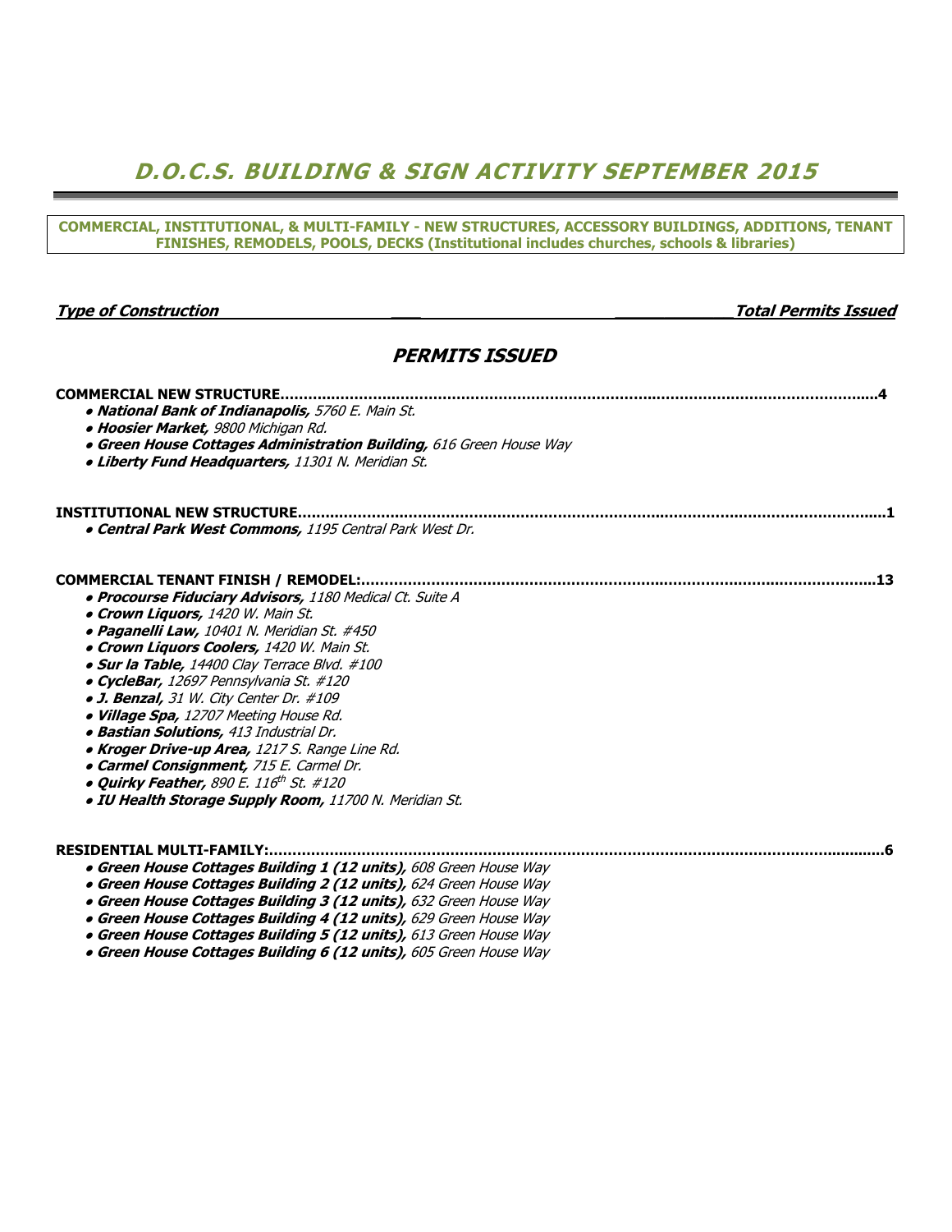## D.O.C.S. BUILDING & SIGN ACTIVITY SEPTEMBER 2015

COMMERCIAL, INSTITUTIONAL, & MULTI-FAMILY - NEW STRUCTURES, ACCESSORY BUILDINGS, ADDITIONS, TENANT

| FINISHES, REMODELS, POOLS, DECKS (Institutional includes churches, schools & libraries)                                                                                                                                                                                                                                                                                                                                                                                                                                                                                                                                 |                             |
|-------------------------------------------------------------------------------------------------------------------------------------------------------------------------------------------------------------------------------------------------------------------------------------------------------------------------------------------------------------------------------------------------------------------------------------------------------------------------------------------------------------------------------------------------------------------------------------------------------------------------|-----------------------------|
| <b>Type of Construction</b>                                                                                                                                                                                                                                                                                                                                                                                                                                                                                                                                                                                             | <b>Total Permits Issued</b> |
|                                                                                                                                                                                                                                                                                                                                                                                                                                                                                                                                                                                                                         |                             |
| <b>PERMITS ISSUED</b>                                                                                                                                                                                                                                                                                                                                                                                                                                                                                                                                                                                                   |                             |
| · National Bank of Indianapolis, 5760 E. Main St.<br>· Hoosier Market, 9800 Michigan Rd.<br>• Green House Cottages Administration Building, 616 Green House Way<br>· Liberty Fund Headquarters, 11301 N. Meridian St.                                                                                                                                                                                                                                                                                                                                                                                                   |                             |
| . Central Park West Commons, 1195 Central Park West Dr.                                                                                                                                                                                                                                                                                                                                                                                                                                                                                                                                                                 |                             |
| · Procourse Fiduciary Advisors, 1180 Medical Ct. Suite A<br>• Crown Liquors, 1420 W. Main St.<br>· Paganelli Law, 10401 N. Meridian St. #450<br>• Crown Liquors Coolers, 1420 W. Main St.<br>· Sur la Table, 14400 Clay Terrace Blvd. #100<br>· CycleBar, 12697 Pennsylvania St. #120<br>· J. Benzal, 31 W. City Center Dr. #109<br>· Village Spa, 12707 Meeting House Rd.<br>· Bastian Solutions, 413 Industrial Dr.<br>• Kroger Drive-up Area, 1217 S. Range Line Rd.<br>· Carmel Consignment, 715 E. Carmel Dr.<br>. Quirky Feather, 890 E. 116th St. #120<br>· IU Health Storage Supply Room, 11700 N. Meridian St. |                             |
| RESIDENTIAL MULTI-FAMILY:<br>• Green House Cottages Building 1 (12 units), 608 Green House Way<br>• Green House Cottages Building 2 (12 units), 624 Green House Way<br>• Green House Cottages Building 3 (12 units), 632 Green House Way<br>• Green House Cottages Building 4 (12 units), 629 Green House Way<br>• Green House Cottages Building 5 (12 units), 613 Green House Way                                                                                                                                                                                                                                      |                             |

● Green House Cottages Building 6 (12 units), 605 Green House Way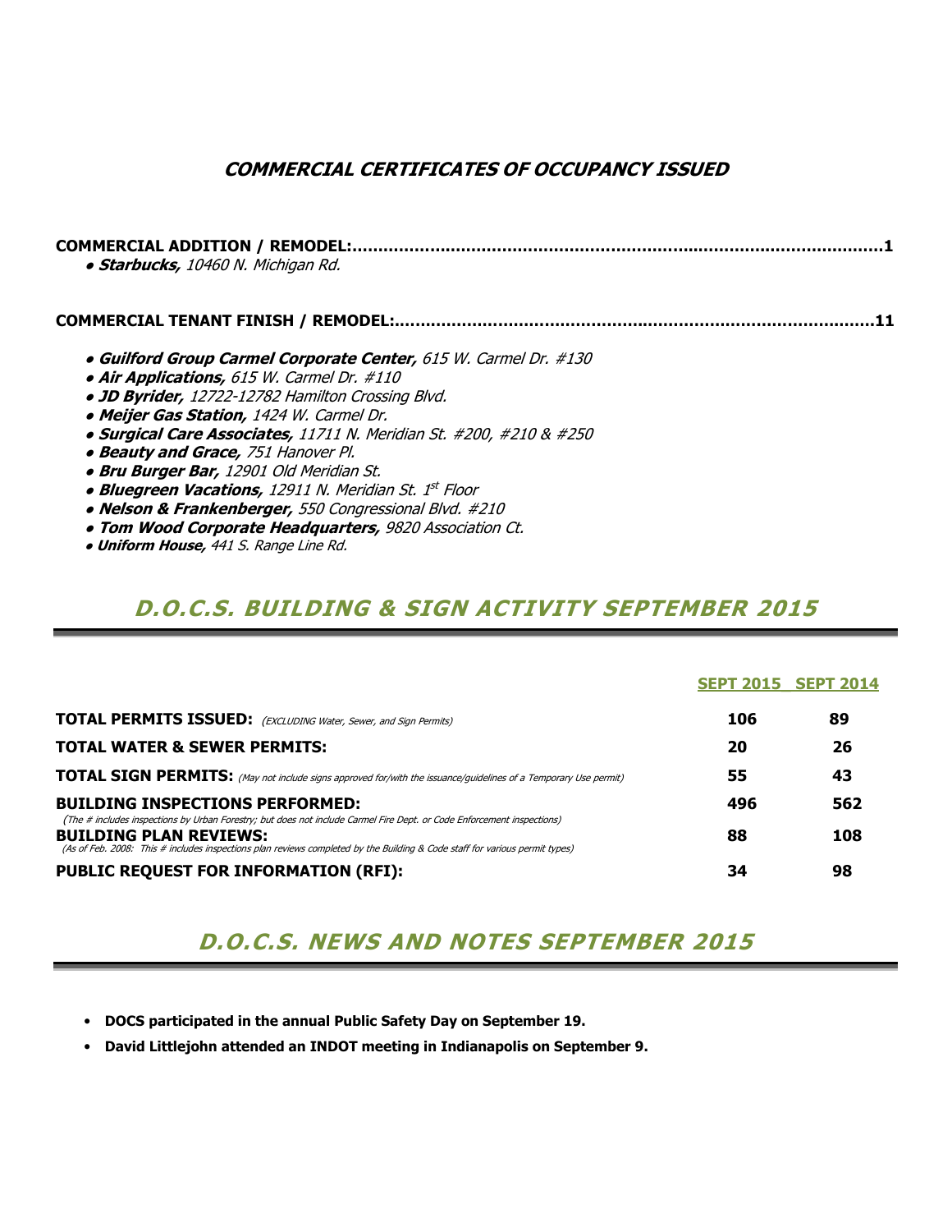### COMMERCIAL CERTIFICATES OF OCCUPANCY ISSUED

COMMERCIAL ADDITION / REMODEL:……………….…….…………………………………..…………..………….………1 • Starbucks, 10460 N. Michigan Rd.

COMMERCIAL TENANT FINISH / REMODEL:.…….…………………………………..……………………………….…….11

- Guilford Group Carmel Corporate Center, 615 W. Carmel Dr. #130
- Air Applications, 615 W. Carmel Dr. #110
- JD Byrider, 12722-12782 Hamilton Crossing Blvd.
- Meijer Gas Station, 1424 W. Carmel Dr.
- Surgical Care Associates, 11711 N. Meridian St. #200, #210 & #250
- Beauty and Grace, 751 Hanover Pl.
- Bru Burger Bar, 12901 Old Meridian St.
- Bluegreen Vacations, 12911 N. Meridian St. 1st Floor
- Nelson & Frankenberger, 550 Congressional Blvd. #210
- Tom Wood Corporate Headquarters, 9820 Association Ct.
- Uniform House, 441 S. Range Line Rd.

### D.O.C.S. BUILDING & SIGN ACTIVITY SEPTEMBER 2015

|                                                                                                                                                                                                                                                                                        |     | <b>SEPT 2015 SEPT 2014</b> |
|----------------------------------------------------------------------------------------------------------------------------------------------------------------------------------------------------------------------------------------------------------------------------------------|-----|----------------------------|
| <b>TOTAL PERMITS ISSUED:</b> (EXCLUDING Water, Sewer, and Sign Permits)                                                                                                                                                                                                                | 106 | 89                         |
| <b>TOTAL WATER &amp; SEWER PERMITS:</b>                                                                                                                                                                                                                                                | 20  | 26                         |
| <b>TOTAL SIGN PERMITS:</b> (May not include signs approved for/with the issuance/guidelines of a Temporary Use permit)                                                                                                                                                                 | 55  | 43                         |
| <b>BUILDING INSPECTIONS PERFORMED:</b>                                                                                                                                                                                                                                                 | 496 | 562                        |
| (The # includes inspections by Urban Forestry; but does not include Carmel Fire Dept. or Code Enforcement inspections)<br><b>BUILDING PLAN REVIEWS:</b><br>(As of Feb. 2008: This # includes inspections plan reviews completed by the Building & Code staff for various permit types) | 88  | 108                        |
| <b>PUBLIC REQUEST FOR INFORMATION (RFI):</b>                                                                                                                                                                                                                                           | 34  | 98                         |

## D.O.C.S. NEWS AND NOTES SEPTEMBER 2015

- DOCS participated in the annual Public Safety Day on September 19.
- David Littlejohn attended an INDOT meeting in Indianapolis on September 9.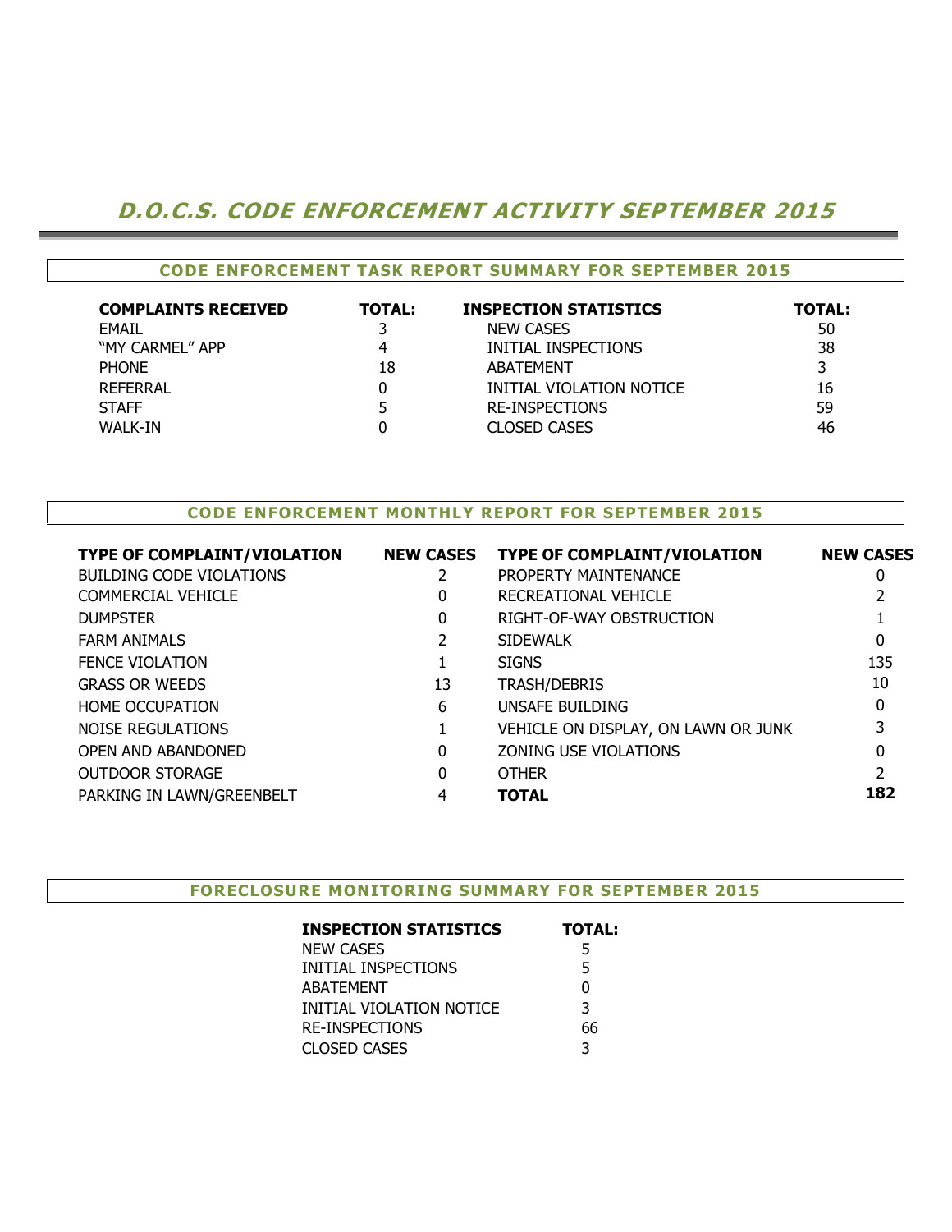### D.O.C.S. CODE ENFORCEMENT ACTIVITY SEPTEMBER 2015

| <b>CODE ENFORCEMENT TASK REPORT SUMMARY FOR SEPTEMBER 2015</b> |               |                              |               |  |  |  |  |  |  |
|----------------------------------------------------------------|---------------|------------------------------|---------------|--|--|--|--|--|--|
| <b>COMPLAINTS RECEIVED</b>                                     | <b>TOTAL:</b> | <b>INSPECTION STATISTICS</b> | <b>TOTAL:</b> |  |  |  |  |  |  |
| EMAIL                                                          |               | <b>NEW CASES</b>             | 50            |  |  |  |  |  |  |
| "MY CARMEL" APP                                                |               | INITIAL INSPECTIONS          | 38            |  |  |  |  |  |  |
| <b>PHONE</b>                                                   | 18            | ABATEMENT                    |               |  |  |  |  |  |  |
| REFERRAL                                                       |               | INITIAL VIOLATION NOTICE     | 16            |  |  |  |  |  |  |
| <b>STAFF</b>                                                   |               | <b>RE-INSPECTIONS</b>        | 59            |  |  |  |  |  |  |
| WALK-IN                                                        |               | <b>CLOSED CASES</b>          | 46            |  |  |  |  |  |  |

#### CODE ENFORCEMENT MONTHLY REPORT FOR SEPTEMBER 2015

| TYPE OF COMPLAINT/VIOLATION     | <b>NEW CASES</b> | <b>TYPE OF COMPLAINT/VIOLATION</b>  | <b>NEW CASES</b> |
|---------------------------------|------------------|-------------------------------------|------------------|
| <b>BUILDING CODE VIOLATIONS</b> |                  | PROPERTY MAINTENANCE                | 0                |
| <b>COMMERCIAL VEHICLE</b>       | $\Omega$         | RECREATIONAL VEHICLE                |                  |
| <b>DUMPSTER</b>                 | 0                | RIGHT-OF-WAY OBSTRUCTION            |                  |
| <b>FARM ANIMALS</b>             |                  | <b>SIDEWALK</b>                     | 0                |
| <b>FENCE VIOLATION</b>          |                  | <b>SIGNS</b>                        | 135              |
| <b>GRASS OR WEEDS</b>           | 13               | <b>TRASH/DEBRIS</b>                 | 10               |
| <b>HOME OCCUPATION</b>          | 6                | UNSAFE BUILDING                     | 0                |
| NOISE REGULATIONS               |                  | VEHICLE ON DISPLAY, ON LAWN OR JUNK |                  |
| <b>OPEN AND ABANDONED</b>       | 0                | ZONING USE VIOLATIONS               |                  |
| <b>OUTDOOR STORAGE</b>          | $\Omega$         | <b>OTHER</b>                        |                  |
| PARKING IN LAWN/GREENBELT       | 4                | <b>TOTAL</b>                        | 182              |
|                                 |                  |                                     |                  |

FORECLOSURE MONITORING SUMMARY FOR SEPTEMBER 2015

| <b>INSPECTION STATISTICS</b> | <b>TOTAL:</b> |
|------------------------------|---------------|
| <b>NEW CASES</b>             | 5             |
| INITIAL INSPECTIONS          | 5             |
| <b>ABATEMENT</b>             | 0             |
| INITIAL VIOLATION NOTICE     | 3             |
| <b>RE-INSPECTIONS</b>        | 66            |
| <b>CLOSED CASES</b>          | ς             |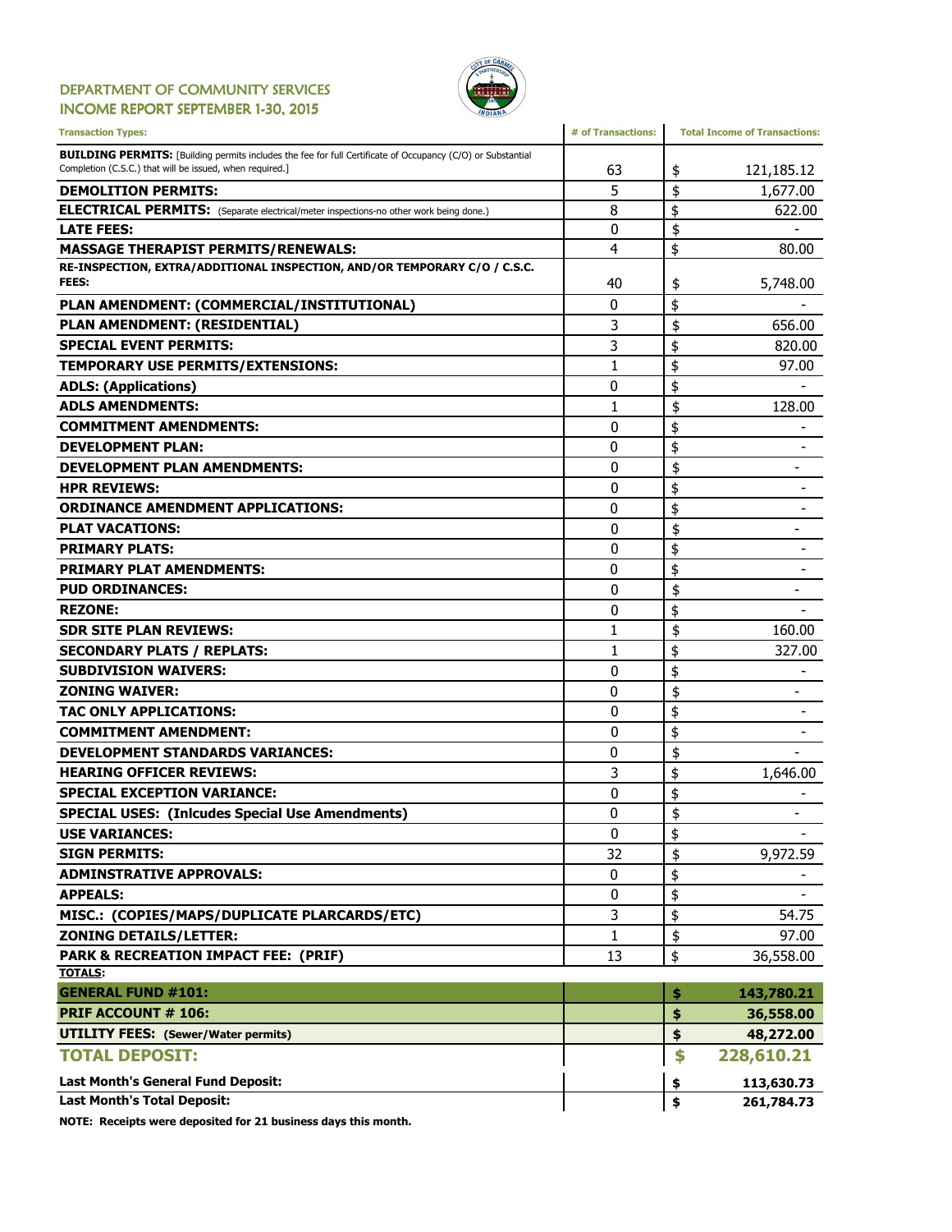#### DEPARTMENT OF COMMUNITY SERVICES INCOME REPORT SEPTEMBER 1-30, 2015



| <b>BUILDING PERMITS:</b> [Building permits includes the fee for full Certificate of Occupancy (C/O) or Substantial<br>Completion (C.S.C.) that will be issued, when required.]<br>121,185.12<br>63<br>\$<br>\$<br>5<br><b>DEMOLITION PERMITS:</b><br>1,677.00<br>\$<br>8<br><b>ELECTRICAL PERMITS:</b> (Separate electrical/meter inspections-no other work being done.)<br><b>LATE FEES:</b><br>0<br>\$<br>\$<br><b>MASSAGE THERAPIST PERMITS/RENEWALS:</b><br>4<br>80.00<br>RE-INSPECTION, EXTRA/ADDITIONAL INSPECTION, AND/OR TEMPORARY C/O / C.S.C.<br>FEES:<br>40<br>5,748.00<br>\$<br>\$<br>PLAN AMENDMENT: (COMMERCIAL/INSTITUTIONAL)<br>0<br>\$<br>3<br>656.00<br>PLAN AMENDMENT: (RESIDENTIAL)<br>3<br>\$<br><b>SPECIAL EVENT PERMITS:</b><br>\$<br>1<br>97.00<br><b>TEMPORARY USE PERMITS/EXTENSIONS:</b><br>0<br>\$<br><b>ADLS: (Applications)</b><br><b>ADLS AMENDMENTS:</b><br>\$<br>128.00<br>1<br>\$<br>0<br><b>COMMITMENT AMENDMENTS:</b><br>\$<br><b>DEVELOPMENT PLAN:</b><br>0<br>\$<br><b>DEVELOPMENT PLAN AMENDMENTS:</b><br>0<br>\$<br>$\mathbf{0}$<br><b>HPR REVIEWS:</b><br>\$<br>0<br><b>ORDINANCE AMENDMENT APPLICATIONS:</b><br>\$<br>0<br><b>PLAT VACATIONS:</b><br>$\overline{\phantom{0}}$<br>\$<br><b>PRIMARY PLATS:</b><br>0<br>\$<br><b>PRIMARY PLAT AMENDMENTS:</b><br>0<br>$\mathbf{0}$<br>\$<br><b>PUD ORDINANCES:</b><br>\$<br>$\mathbf{0}$<br><b>REZONE:</b><br>\$<br><b>SDR SITE PLAN REVIEWS:</b><br>1<br>160.00<br>\$<br>$\mathbf{1}$<br><b>SECONDARY PLATS / REPLATS:</b><br>\$<br>0<br><b>SUBDIVISION WAIVERS:</b><br>\$<br>0<br><b>ZONING WAIVER:</b><br>\$<br>TAC ONLY APPLICATIONS:<br>0<br>\$<br><b>COMMITMENT AMENDMENT:</b><br>0<br>\$<br>0<br><b>DEVELOPMENT STANDARDS VARIANCES:</b><br>\$<br>3<br><b>HEARING OFFICER REVIEWS:</b><br>1,646.00<br>\$<br><b>SPECIAL EXCEPTION VARIANCE:</b><br>0<br>\$<br>0<br><b>SPECIAL USES: (Inlcudes Special Use Amendments)</b><br>0<br>\$<br><b>USE VARIANCES:</b><br>\$<br>32<br>9,972.59<br><b>SIGN PERMITS:</b><br>\$<br>0<br><b>ADMINSTRATIVE APPROVALS:</b><br><b>APPEALS:</b><br>\$<br>0<br>MISC.: (COPIES/MAPS/DUPLICATE PLARCARDS/ETC)<br>\$<br>3<br>54.75<br><b>ZONING DETAILS/LETTER:</b><br>$\mathbf{1}$<br>\$<br>97.00<br>\$<br><b>PARK &amp; RECREATION IMPACT FEE: (PRIF)</b><br>13<br>36,558.00<br><b>TOTALS:</b><br><b>GENERAL FUND #101:</b><br>\$<br>143,780.21<br><b>PRIF ACCOUNT # 106:</b><br>\$<br>36,558.00<br><b>UTILITY FEES:</b> (Sewer/Water permits)<br>\$<br>48,272.00<br><b>TOTAL DEPOSIT:</b><br>\$<br>228,610.21<br><b>Last Month's General Fund Deposit:</b><br>113,630.73<br>\$<br><b>Last Month's Total Deposit:</b><br>\$<br>261,784.73 | <b>Transaction Types:</b> | # of Transactions: | <b>Total Income of Transactions:</b> |
|---------------------------------------------------------------------------------------------------------------------------------------------------------------------------------------------------------------------------------------------------------------------------------------------------------------------------------------------------------------------------------------------------------------------------------------------------------------------------------------------------------------------------------------------------------------------------------------------------------------------------------------------------------------------------------------------------------------------------------------------------------------------------------------------------------------------------------------------------------------------------------------------------------------------------------------------------------------------------------------------------------------------------------------------------------------------------------------------------------------------------------------------------------------------------------------------------------------------------------------------------------------------------------------------------------------------------------------------------------------------------------------------------------------------------------------------------------------------------------------------------------------------------------------------------------------------------------------------------------------------------------------------------------------------------------------------------------------------------------------------------------------------------------------------------------------------------------------------------------------------------------------------------------------------------------------------------------------------------------------------------------------------------------------------------------------------------------------------------------------------------------------------------------------------------------------------------------------------------------------------------------------------------------------------------------------------------------------------------------------------------------------------------------------------------------------------------------------------------------------------------------------------------------------------------------------------------------------------------------------------------------------------------------------------|---------------------------|--------------------|--------------------------------------|
|                                                                                                                                                                                                                                                                                                                                                                                                                                                                                                                                                                                                                                                                                                                                                                                                                                                                                                                                                                                                                                                                                                                                                                                                                                                                                                                                                                                                                                                                                                                                                                                                                                                                                                                                                                                                                                                                                                                                                                                                                                                                                                                                                                                                                                                                                                                                                                                                                                                                                                                                                                                                                                                                     |                           |                    |                                      |
|                                                                                                                                                                                                                                                                                                                                                                                                                                                                                                                                                                                                                                                                                                                                                                                                                                                                                                                                                                                                                                                                                                                                                                                                                                                                                                                                                                                                                                                                                                                                                                                                                                                                                                                                                                                                                                                                                                                                                                                                                                                                                                                                                                                                                                                                                                                                                                                                                                                                                                                                                                                                                                                                     |                           |                    |                                      |
|                                                                                                                                                                                                                                                                                                                                                                                                                                                                                                                                                                                                                                                                                                                                                                                                                                                                                                                                                                                                                                                                                                                                                                                                                                                                                                                                                                                                                                                                                                                                                                                                                                                                                                                                                                                                                                                                                                                                                                                                                                                                                                                                                                                                                                                                                                                                                                                                                                                                                                                                                                                                                                                                     |                           |                    | 622.00                               |
|                                                                                                                                                                                                                                                                                                                                                                                                                                                                                                                                                                                                                                                                                                                                                                                                                                                                                                                                                                                                                                                                                                                                                                                                                                                                                                                                                                                                                                                                                                                                                                                                                                                                                                                                                                                                                                                                                                                                                                                                                                                                                                                                                                                                                                                                                                                                                                                                                                                                                                                                                                                                                                                                     |                           |                    |                                      |
|                                                                                                                                                                                                                                                                                                                                                                                                                                                                                                                                                                                                                                                                                                                                                                                                                                                                                                                                                                                                                                                                                                                                                                                                                                                                                                                                                                                                                                                                                                                                                                                                                                                                                                                                                                                                                                                                                                                                                                                                                                                                                                                                                                                                                                                                                                                                                                                                                                                                                                                                                                                                                                                                     |                           |                    |                                      |
|                                                                                                                                                                                                                                                                                                                                                                                                                                                                                                                                                                                                                                                                                                                                                                                                                                                                                                                                                                                                                                                                                                                                                                                                                                                                                                                                                                                                                                                                                                                                                                                                                                                                                                                                                                                                                                                                                                                                                                                                                                                                                                                                                                                                                                                                                                                                                                                                                                                                                                                                                                                                                                                                     |                           |                    |                                      |
|                                                                                                                                                                                                                                                                                                                                                                                                                                                                                                                                                                                                                                                                                                                                                                                                                                                                                                                                                                                                                                                                                                                                                                                                                                                                                                                                                                                                                                                                                                                                                                                                                                                                                                                                                                                                                                                                                                                                                                                                                                                                                                                                                                                                                                                                                                                                                                                                                                                                                                                                                                                                                                                                     |                           |                    |                                      |
|                                                                                                                                                                                                                                                                                                                                                                                                                                                                                                                                                                                                                                                                                                                                                                                                                                                                                                                                                                                                                                                                                                                                                                                                                                                                                                                                                                                                                                                                                                                                                                                                                                                                                                                                                                                                                                                                                                                                                                                                                                                                                                                                                                                                                                                                                                                                                                                                                                                                                                                                                                                                                                                                     |                           |                    |                                      |
|                                                                                                                                                                                                                                                                                                                                                                                                                                                                                                                                                                                                                                                                                                                                                                                                                                                                                                                                                                                                                                                                                                                                                                                                                                                                                                                                                                                                                                                                                                                                                                                                                                                                                                                                                                                                                                                                                                                                                                                                                                                                                                                                                                                                                                                                                                                                                                                                                                                                                                                                                                                                                                                                     |                           |                    | 820.00                               |
|                                                                                                                                                                                                                                                                                                                                                                                                                                                                                                                                                                                                                                                                                                                                                                                                                                                                                                                                                                                                                                                                                                                                                                                                                                                                                                                                                                                                                                                                                                                                                                                                                                                                                                                                                                                                                                                                                                                                                                                                                                                                                                                                                                                                                                                                                                                                                                                                                                                                                                                                                                                                                                                                     |                           |                    |                                      |
|                                                                                                                                                                                                                                                                                                                                                                                                                                                                                                                                                                                                                                                                                                                                                                                                                                                                                                                                                                                                                                                                                                                                                                                                                                                                                                                                                                                                                                                                                                                                                                                                                                                                                                                                                                                                                                                                                                                                                                                                                                                                                                                                                                                                                                                                                                                                                                                                                                                                                                                                                                                                                                                                     |                           |                    |                                      |
|                                                                                                                                                                                                                                                                                                                                                                                                                                                                                                                                                                                                                                                                                                                                                                                                                                                                                                                                                                                                                                                                                                                                                                                                                                                                                                                                                                                                                                                                                                                                                                                                                                                                                                                                                                                                                                                                                                                                                                                                                                                                                                                                                                                                                                                                                                                                                                                                                                                                                                                                                                                                                                                                     |                           |                    |                                      |
|                                                                                                                                                                                                                                                                                                                                                                                                                                                                                                                                                                                                                                                                                                                                                                                                                                                                                                                                                                                                                                                                                                                                                                                                                                                                                                                                                                                                                                                                                                                                                                                                                                                                                                                                                                                                                                                                                                                                                                                                                                                                                                                                                                                                                                                                                                                                                                                                                                                                                                                                                                                                                                                                     |                           |                    |                                      |
|                                                                                                                                                                                                                                                                                                                                                                                                                                                                                                                                                                                                                                                                                                                                                                                                                                                                                                                                                                                                                                                                                                                                                                                                                                                                                                                                                                                                                                                                                                                                                                                                                                                                                                                                                                                                                                                                                                                                                                                                                                                                                                                                                                                                                                                                                                                                                                                                                                                                                                                                                                                                                                                                     |                           |                    |                                      |
|                                                                                                                                                                                                                                                                                                                                                                                                                                                                                                                                                                                                                                                                                                                                                                                                                                                                                                                                                                                                                                                                                                                                                                                                                                                                                                                                                                                                                                                                                                                                                                                                                                                                                                                                                                                                                                                                                                                                                                                                                                                                                                                                                                                                                                                                                                                                                                                                                                                                                                                                                                                                                                                                     |                           |                    |                                      |
|                                                                                                                                                                                                                                                                                                                                                                                                                                                                                                                                                                                                                                                                                                                                                                                                                                                                                                                                                                                                                                                                                                                                                                                                                                                                                                                                                                                                                                                                                                                                                                                                                                                                                                                                                                                                                                                                                                                                                                                                                                                                                                                                                                                                                                                                                                                                                                                                                                                                                                                                                                                                                                                                     |                           |                    |                                      |
|                                                                                                                                                                                                                                                                                                                                                                                                                                                                                                                                                                                                                                                                                                                                                                                                                                                                                                                                                                                                                                                                                                                                                                                                                                                                                                                                                                                                                                                                                                                                                                                                                                                                                                                                                                                                                                                                                                                                                                                                                                                                                                                                                                                                                                                                                                                                                                                                                                                                                                                                                                                                                                                                     |                           |                    |                                      |
|                                                                                                                                                                                                                                                                                                                                                                                                                                                                                                                                                                                                                                                                                                                                                                                                                                                                                                                                                                                                                                                                                                                                                                                                                                                                                                                                                                                                                                                                                                                                                                                                                                                                                                                                                                                                                                                                                                                                                                                                                                                                                                                                                                                                                                                                                                                                                                                                                                                                                                                                                                                                                                                                     |                           |                    |                                      |
|                                                                                                                                                                                                                                                                                                                                                                                                                                                                                                                                                                                                                                                                                                                                                                                                                                                                                                                                                                                                                                                                                                                                                                                                                                                                                                                                                                                                                                                                                                                                                                                                                                                                                                                                                                                                                                                                                                                                                                                                                                                                                                                                                                                                                                                                                                                                                                                                                                                                                                                                                                                                                                                                     |                           |                    |                                      |
|                                                                                                                                                                                                                                                                                                                                                                                                                                                                                                                                                                                                                                                                                                                                                                                                                                                                                                                                                                                                                                                                                                                                                                                                                                                                                                                                                                                                                                                                                                                                                                                                                                                                                                                                                                                                                                                                                                                                                                                                                                                                                                                                                                                                                                                                                                                                                                                                                                                                                                                                                                                                                                                                     |                           |                    |                                      |
|                                                                                                                                                                                                                                                                                                                                                                                                                                                                                                                                                                                                                                                                                                                                                                                                                                                                                                                                                                                                                                                                                                                                                                                                                                                                                                                                                                                                                                                                                                                                                                                                                                                                                                                                                                                                                                                                                                                                                                                                                                                                                                                                                                                                                                                                                                                                                                                                                                                                                                                                                                                                                                                                     |                           |                    |                                      |
|                                                                                                                                                                                                                                                                                                                                                                                                                                                                                                                                                                                                                                                                                                                                                                                                                                                                                                                                                                                                                                                                                                                                                                                                                                                                                                                                                                                                                                                                                                                                                                                                                                                                                                                                                                                                                                                                                                                                                                                                                                                                                                                                                                                                                                                                                                                                                                                                                                                                                                                                                                                                                                                                     |                           |                    |                                      |
|                                                                                                                                                                                                                                                                                                                                                                                                                                                                                                                                                                                                                                                                                                                                                                                                                                                                                                                                                                                                                                                                                                                                                                                                                                                                                                                                                                                                                                                                                                                                                                                                                                                                                                                                                                                                                                                                                                                                                                                                                                                                                                                                                                                                                                                                                                                                                                                                                                                                                                                                                                                                                                                                     |                           |                    |                                      |
|                                                                                                                                                                                                                                                                                                                                                                                                                                                                                                                                                                                                                                                                                                                                                                                                                                                                                                                                                                                                                                                                                                                                                                                                                                                                                                                                                                                                                                                                                                                                                                                                                                                                                                                                                                                                                                                                                                                                                                                                                                                                                                                                                                                                                                                                                                                                                                                                                                                                                                                                                                                                                                                                     |                           |                    | 327.00                               |
|                                                                                                                                                                                                                                                                                                                                                                                                                                                                                                                                                                                                                                                                                                                                                                                                                                                                                                                                                                                                                                                                                                                                                                                                                                                                                                                                                                                                                                                                                                                                                                                                                                                                                                                                                                                                                                                                                                                                                                                                                                                                                                                                                                                                                                                                                                                                                                                                                                                                                                                                                                                                                                                                     |                           |                    |                                      |
|                                                                                                                                                                                                                                                                                                                                                                                                                                                                                                                                                                                                                                                                                                                                                                                                                                                                                                                                                                                                                                                                                                                                                                                                                                                                                                                                                                                                                                                                                                                                                                                                                                                                                                                                                                                                                                                                                                                                                                                                                                                                                                                                                                                                                                                                                                                                                                                                                                                                                                                                                                                                                                                                     |                           |                    |                                      |
|                                                                                                                                                                                                                                                                                                                                                                                                                                                                                                                                                                                                                                                                                                                                                                                                                                                                                                                                                                                                                                                                                                                                                                                                                                                                                                                                                                                                                                                                                                                                                                                                                                                                                                                                                                                                                                                                                                                                                                                                                                                                                                                                                                                                                                                                                                                                                                                                                                                                                                                                                                                                                                                                     |                           |                    |                                      |
|                                                                                                                                                                                                                                                                                                                                                                                                                                                                                                                                                                                                                                                                                                                                                                                                                                                                                                                                                                                                                                                                                                                                                                                                                                                                                                                                                                                                                                                                                                                                                                                                                                                                                                                                                                                                                                                                                                                                                                                                                                                                                                                                                                                                                                                                                                                                                                                                                                                                                                                                                                                                                                                                     |                           |                    |                                      |
|                                                                                                                                                                                                                                                                                                                                                                                                                                                                                                                                                                                                                                                                                                                                                                                                                                                                                                                                                                                                                                                                                                                                                                                                                                                                                                                                                                                                                                                                                                                                                                                                                                                                                                                                                                                                                                                                                                                                                                                                                                                                                                                                                                                                                                                                                                                                                                                                                                                                                                                                                                                                                                                                     |                           |                    |                                      |
|                                                                                                                                                                                                                                                                                                                                                                                                                                                                                                                                                                                                                                                                                                                                                                                                                                                                                                                                                                                                                                                                                                                                                                                                                                                                                                                                                                                                                                                                                                                                                                                                                                                                                                                                                                                                                                                                                                                                                                                                                                                                                                                                                                                                                                                                                                                                                                                                                                                                                                                                                                                                                                                                     |                           |                    |                                      |
|                                                                                                                                                                                                                                                                                                                                                                                                                                                                                                                                                                                                                                                                                                                                                                                                                                                                                                                                                                                                                                                                                                                                                                                                                                                                                                                                                                                                                                                                                                                                                                                                                                                                                                                                                                                                                                                                                                                                                                                                                                                                                                                                                                                                                                                                                                                                                                                                                                                                                                                                                                                                                                                                     |                           |                    |                                      |
|                                                                                                                                                                                                                                                                                                                                                                                                                                                                                                                                                                                                                                                                                                                                                                                                                                                                                                                                                                                                                                                                                                                                                                                                                                                                                                                                                                                                                                                                                                                                                                                                                                                                                                                                                                                                                                                                                                                                                                                                                                                                                                                                                                                                                                                                                                                                                                                                                                                                                                                                                                                                                                                                     |                           |                    |                                      |
|                                                                                                                                                                                                                                                                                                                                                                                                                                                                                                                                                                                                                                                                                                                                                                                                                                                                                                                                                                                                                                                                                                                                                                                                                                                                                                                                                                                                                                                                                                                                                                                                                                                                                                                                                                                                                                                                                                                                                                                                                                                                                                                                                                                                                                                                                                                                                                                                                                                                                                                                                                                                                                                                     |                           |                    |                                      |
|                                                                                                                                                                                                                                                                                                                                                                                                                                                                                                                                                                                                                                                                                                                                                                                                                                                                                                                                                                                                                                                                                                                                                                                                                                                                                                                                                                                                                                                                                                                                                                                                                                                                                                                                                                                                                                                                                                                                                                                                                                                                                                                                                                                                                                                                                                                                                                                                                                                                                                                                                                                                                                                                     |                           |                    |                                      |
|                                                                                                                                                                                                                                                                                                                                                                                                                                                                                                                                                                                                                                                                                                                                                                                                                                                                                                                                                                                                                                                                                                                                                                                                                                                                                                                                                                                                                                                                                                                                                                                                                                                                                                                                                                                                                                                                                                                                                                                                                                                                                                                                                                                                                                                                                                                                                                                                                                                                                                                                                                                                                                                                     |                           |                    |                                      |
|                                                                                                                                                                                                                                                                                                                                                                                                                                                                                                                                                                                                                                                                                                                                                                                                                                                                                                                                                                                                                                                                                                                                                                                                                                                                                                                                                                                                                                                                                                                                                                                                                                                                                                                                                                                                                                                                                                                                                                                                                                                                                                                                                                                                                                                                                                                                                                                                                                                                                                                                                                                                                                                                     |                           |                    |                                      |
|                                                                                                                                                                                                                                                                                                                                                                                                                                                                                                                                                                                                                                                                                                                                                                                                                                                                                                                                                                                                                                                                                                                                                                                                                                                                                                                                                                                                                                                                                                                                                                                                                                                                                                                                                                                                                                                                                                                                                                                                                                                                                                                                                                                                                                                                                                                                                                                                                                                                                                                                                                                                                                                                     |                           |                    |                                      |
|                                                                                                                                                                                                                                                                                                                                                                                                                                                                                                                                                                                                                                                                                                                                                                                                                                                                                                                                                                                                                                                                                                                                                                                                                                                                                                                                                                                                                                                                                                                                                                                                                                                                                                                                                                                                                                                                                                                                                                                                                                                                                                                                                                                                                                                                                                                                                                                                                                                                                                                                                                                                                                                                     |                           |                    |                                      |
|                                                                                                                                                                                                                                                                                                                                                                                                                                                                                                                                                                                                                                                                                                                                                                                                                                                                                                                                                                                                                                                                                                                                                                                                                                                                                                                                                                                                                                                                                                                                                                                                                                                                                                                                                                                                                                                                                                                                                                                                                                                                                                                                                                                                                                                                                                                                                                                                                                                                                                                                                                                                                                                                     |                           |                    |                                      |
|                                                                                                                                                                                                                                                                                                                                                                                                                                                                                                                                                                                                                                                                                                                                                                                                                                                                                                                                                                                                                                                                                                                                                                                                                                                                                                                                                                                                                                                                                                                                                                                                                                                                                                                                                                                                                                                                                                                                                                                                                                                                                                                                                                                                                                                                                                                                                                                                                                                                                                                                                                                                                                                                     |                           |                    |                                      |
|                                                                                                                                                                                                                                                                                                                                                                                                                                                                                                                                                                                                                                                                                                                                                                                                                                                                                                                                                                                                                                                                                                                                                                                                                                                                                                                                                                                                                                                                                                                                                                                                                                                                                                                                                                                                                                                                                                                                                                                                                                                                                                                                                                                                                                                                                                                                                                                                                                                                                                                                                                                                                                                                     |                           |                    |                                      |
|                                                                                                                                                                                                                                                                                                                                                                                                                                                                                                                                                                                                                                                                                                                                                                                                                                                                                                                                                                                                                                                                                                                                                                                                                                                                                                                                                                                                                                                                                                                                                                                                                                                                                                                                                                                                                                                                                                                                                                                                                                                                                                                                                                                                                                                                                                                                                                                                                                                                                                                                                                                                                                                                     |                           |                    |                                      |
|                                                                                                                                                                                                                                                                                                                                                                                                                                                                                                                                                                                                                                                                                                                                                                                                                                                                                                                                                                                                                                                                                                                                                                                                                                                                                                                                                                                                                                                                                                                                                                                                                                                                                                                                                                                                                                                                                                                                                                                                                                                                                                                                                                                                                                                                                                                                                                                                                                                                                                                                                                                                                                                                     |                           |                    |                                      |
|                                                                                                                                                                                                                                                                                                                                                                                                                                                                                                                                                                                                                                                                                                                                                                                                                                                                                                                                                                                                                                                                                                                                                                                                                                                                                                                                                                                                                                                                                                                                                                                                                                                                                                                                                                                                                                                                                                                                                                                                                                                                                                                                                                                                                                                                                                                                                                                                                                                                                                                                                                                                                                                                     |                           |                    |                                      |
|                                                                                                                                                                                                                                                                                                                                                                                                                                                                                                                                                                                                                                                                                                                                                                                                                                                                                                                                                                                                                                                                                                                                                                                                                                                                                                                                                                                                                                                                                                                                                                                                                                                                                                                                                                                                                                                                                                                                                                                                                                                                                                                                                                                                                                                                                                                                                                                                                                                                                                                                                                                                                                                                     |                           |                    |                                      |
|                                                                                                                                                                                                                                                                                                                                                                                                                                                                                                                                                                                                                                                                                                                                                                                                                                                                                                                                                                                                                                                                                                                                                                                                                                                                                                                                                                                                                                                                                                                                                                                                                                                                                                                                                                                                                                                                                                                                                                                                                                                                                                                                                                                                                                                                                                                                                                                                                                                                                                                                                                                                                                                                     | لمارات والمتعاون          |                    |                                      |

NOTE: Receipts were deposited for 21 business days this month.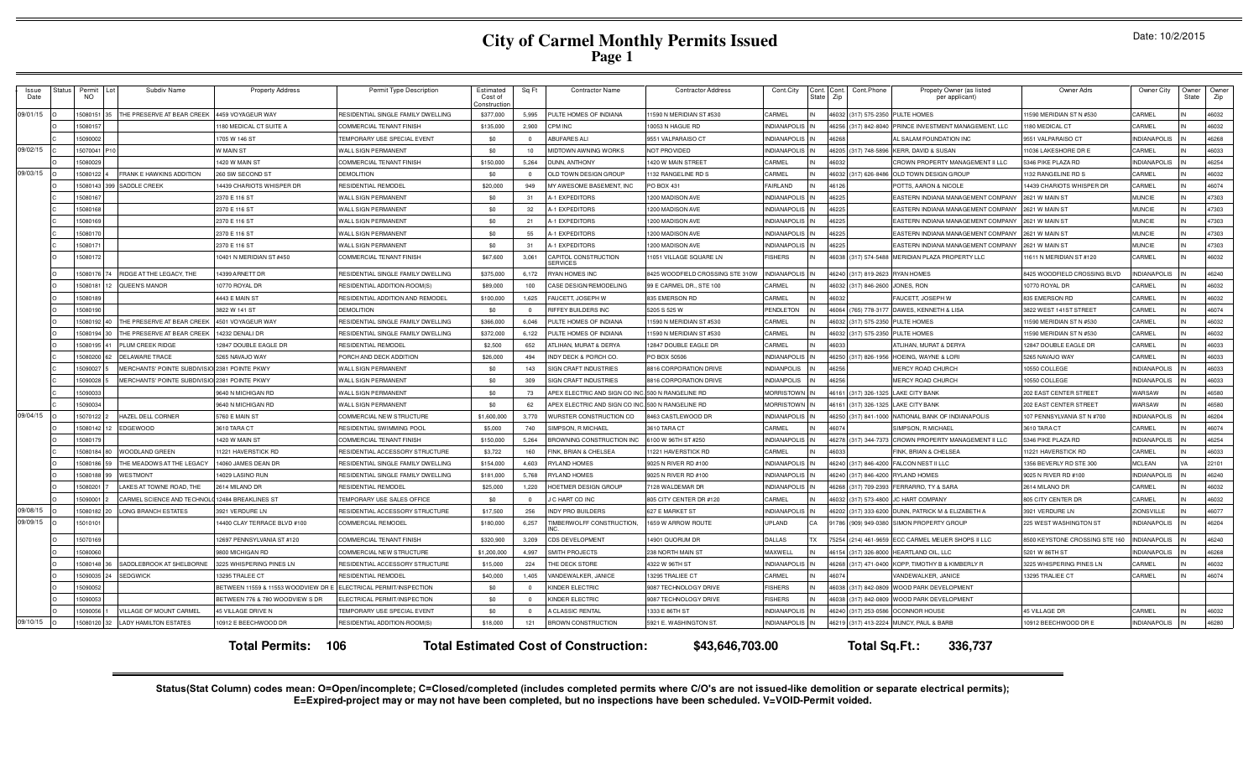# **City of Carmel Monthly Permits Issued Page 1**

| Issue<br>Date | Status | Permit<br><b>NO</b> | Subdiv Name                                   | <b>Property Address</b>           | Permit Type Description            | Estimated<br>Cost of<br>onstructio | Sq Ft    | <b>Contractor Name</b>                            | <b>Contractor Address</b>        | Cont.City           | Cont. Cont<br>Zip<br>State | Cont.Phone     | Propety Owner (as listed<br>per applicant)      | Owner Adrs                     | Owner City          | Owner<br>State | Owner<br>Zip |
|---------------|--------|---------------------|-----------------------------------------------|-----------------------------------|------------------------------------|------------------------------------|----------|---------------------------------------------------|----------------------------------|---------------------|----------------------------|----------------|-------------------------------------------------|--------------------------------|---------------------|----------------|--------------|
| 09/01/15      |        | 5080151             | THE PRESERVE AT BEAR CREEK                    | 4459 VOYAGEUR WAY                 | RESIDENTIAL SINGLE FAMILY DWELLING | \$377,000                          | 5,995    | PULTE HOMES OF INDIANA                            | 11590 N MERIDIAN ST #530         | CARMEL              | 46032                      |                | 317) 575-2350 PULTE HOMES                       | 1590 MERIDIAN ST N #530        | CARMEL              |                | 46032        |
|               |        | 5080157             |                                               | 1180 MEDICAL CT SUITE A           | COMMERCIAL TENANT FINISH           | \$135,000                          | 2,900    | CPM INC                                           | 10053 N HAGUE RD                 | <b>INDIANAPOLIS</b> | 46256                      |                | 317) 842-8040 PRINCE INVESTMENT MANAGEMENT, LLC | 180 MEDICAL CT                 | CARMEI              |                | 46032        |
|               |        | 5090002             |                                               | 1705 W 146 ST                     | TEMPORARY USE SPECIAL EVENT        | \$0                                | $\Omega$ | <b>ABUFARES ALI</b>                               | 9551 VALPARAISO CT               | <b>INDIANAPOLIS</b> | 46268                      |                | <b>AL SALAM FOUNDATION INC</b>                  | 9551 VALPARAISO CT             | <b>INDIANAPOLIS</b> |                | 46268        |
| 09/02/15      |        | 15070041            |                                               | W MAIN ST                         | WALL SIGN PERMANENT                | \$0                                | 10       | MIDTOWN AWNING WORKS                              | NOT PROVIDED                     | <b>INDIANAPOLIS</b> | 46205                      |                | (317) 748-5896 KERR, DAVID & SUSAN              | 1036 LAKESHORE DR B            | CARMEL              |                | 46033        |
|               |        | 5080029             |                                               | 1420 W MAIN ST                    | <b>COMMERCIAL TENANT FINISH</b>    | \$150,000                          | 5,264    | DUNN, ANTHONY                                     | 1420 W MAIN STREET               | CARMEL              | 4603                       |                | CROWN PROPERTY MANAGEMENT II LLC                | 346 PIKE PLAZA RD              | <b>INDIANAPOLIS</b> |                | 46254        |
| 09/03/15      |        | 508012              | <b>FRANK E HAWKINS ADDITION</b>               | 260 SW SECOND ST                  | <b>DEMOLITION</b>                  | \$0                                | $\Omega$ | OLD TOWN DESIGN GROUP                             | 1132 RANGELINE RD S              | CARMEL              | 46032                      | 317) 626-8486  | OLD TOWN DESIGN GROUP                           | 132 RANGELINE RD S             | CARMEL              |                | 46032        |
|               |        | 5080143             | SADDLE CREEK                                  | 14439 CHARIOTS WHISPER DR         | RESIDENTIAL REMODEL                | \$20,000                           | 949      | MY AWESOME BASEMENT. INC                          | PO BOX 431                       | AIRLAND             | 4612                       |                | POTTS, AARON & NICOLE                           | 4439 CHARIOTS WHISPER DR       | CARMEL              |                | 46074        |
|               |        | 508016              |                                               | 2370 E 116 ST                     | WALL SIGN PERMANENT                | \$0                                | 31       | A-1 EXPEDITORS                                    | 1200 MADISON AVE                 | <b>INDIANAPOLIS</b> | 46225                      |                | EASTERN INDIANA MANAGEMENT COMPAN               | 621 W MAIN ST                  | <b>MUNCIE</b>       |                | 47303        |
|               |        | 508016              |                                               | 2370 E 116 ST                     | WALL SIGN PERMANENT                | \$0                                | 32       | A-1 EXPEDITORS                                    | 1200 MADISON AVE                 | <b>INDIANAPOLIS</b> | 4622                       |                | <b>EASTERN INDIANA MANAGEMENT COMPAN</b>        | 621 W MAIN ST                  | <b>MUNCIE</b>       |                | 47303        |
|               |        | 508016              |                                               | 2370 E 116 ST                     | WALL SIGN PERMANENT                | \$0                                | 21       | -1 EXPEDITORS                                     | 1200 MADISON AVE                 | <b>INDIANAPOLIS</b> | 4622                       |                | <b>EASTERN INDIANA MANAGEMENT COMPAN</b>        | 621 W MAIN ST                  | <b>MUNCIE</b>       |                | 47303        |
|               |        | 5080170             |                                               | 2370 E 116 ST                     | WALL SIGN PERMANENT                | \$0                                | 55       | <b>A-1 EXPEDITORS</b>                             | 1200 MADISON AVE                 | <b>NDIANAPOLIS</b>  | 46225                      |                | <b>EASTERN INDIANA MANAGEMENT COMPANY</b>       | 621 W MAIN ST                  | <b>MUNCIE</b>       |                | 47303        |
|               |        | 508017              |                                               | 2370 E 116 ST                     | WALL SIGN PERMANENT                | \$0                                | 31       | <b>A-1 EXPEDITORS</b>                             | 1200 MADISON AVE                 | <b>NDIANAPOLIS</b>  | 46225                      |                | <b>EASTERN INDIANA MANAGEMENT COMPANY</b>       | 621 W MAIN ST                  | <b>MUNCIE</b>       |                | 47303        |
|               |        | 5080172             |                                               | 10401 N MERIDIAN ST #450          | COMMERCIAL TENANT FINISH           | \$67,600                           | 3,061    | CAPITOL CONSTRUCTION<br><b>SERVICES</b>           | 11051 VILLAGE SQUARE LN          | <b>ISHERS</b>       | 46038                      | (317) 574-5488 | MERIDIAN PLAZA PROPERTY LLC                     | 1611 N MERIDIAN ST #120        | CARMEL              |                | 46032        |
|               |        | 5080176             | RIDGE AT THE LEGACY. THE                      | 14399 ARNETT DR                   | RESIDENTIAL SINGLE FAMILY DWELLING | \$375,000                          | 6,172    | RYAN HOMES INC                                    | 8425 WOODFIELD CROSSING STE 310W | <b>INDIANAPOLIS</b> | 46240                      | 317) 819-2623  | <b>RYAN HOMES</b>                               | 8425 WOODFIELD CROSSING BLVD   | <b>INDIANAPOLIS</b> |                | 46240        |
|               |        | 508018              | QUEEN'S MANOR                                 | 10770 ROYAL DR                    | RESIDENTIAL ADDITION-ROOM(S        | \$89,000                           | 100      | CASE DESIGN/REMODELING                            | 99 E CARMEL DR., STE 100         | CARMEL              | 46033                      | 317) 846-2600  | JONES, RON                                      | 0770 ROYAL DR                  | CARMEL              |                | 46032        |
|               |        | 508018              |                                               | 4443 E MAIN ST                    | RESIDENTIAL ADDITION AND REMODEI   | \$100,000                          | 1,625    | FAUCETT, JOSEPH W                                 | 835 EMERSON RD                   | CARMEL              | 46032                      |                | FAUCETT, JOSEPH V                               | 835 EMERSON RD                 | CARMEI              |                | 46032        |
|               |        | 508019              |                                               | 3822 W 141 ST                     | <b>DEMOLITION</b>                  | \$0                                | $\Omega$ | RIFFEY BUILDERS INC                               | 5205 S 525 W                     | <b>PENDLETOM</b>    | 46064                      | 765) 778-3177  | DAWES, KENNETH & LISA                           | 8822 WEST 141ST STREET         | CARMEL              |                | 46074        |
|               |        | 508019              | THE PRESERVE AT BEAR CREEK                    | 4501 VOYAGEUR WAY                 | RESIDENTIAL SINGLE FAMILY DWELLING | \$366,000                          | 6,046    | PULTE HOMES OF INDIANA                            | 11590 N MERIDIAN ST #530         | CARME               | 46032                      | 317) 575-235   | PULTE HOMES                                     | 1590 MERIDIAN ST N #530        | CARMEI              |                | 46032        |
|               |        | 508019              | THE PRESERVE AT BEAR CREEK                    | 4232 DENALI DR                    | RESIDENTIAL SINGLE FAMILY DWELLING | \$372,000                          | 6,122    | PULTE HOMES OF INDIANA                            | 1590 N MERIDIAN ST #530          | CARMEL              | 46032                      | 317) 575-2350  | PULTE HOMES                                     | 590 MERIDIAN ST N #530         | CARMEI              |                | 46032        |
|               |        | 508019              | PLUM CREEK RIDGE                              | 2847 DOUBLE EAGLE DR              | RESIDENTIAL REMODEL                | \$2,500                            | 652      | ATLIHAN, MURAT & DERYA                            | 12847 DOUBLE EAGLE DR            | CARMEL              | 46033                      |                | <b>ITLIHAN, MURAT &amp; DERYA</b>               | 2847 DOUBLE EAGLE DR           | CARMEL              |                | 46033        |
|               |        | 5080200             | <b>DELAWARE TRACE</b>                         | 5265 NAVAJO WAY                   | PORCH AND DECK ADDITION            | \$26,000                           | 494      | <b>INDY DECK &amp; PORCH CO</b>                   | PO BOX 50506                     | <b>NDIANAPOLIS</b>  | 46250                      | 317) 826-1956  | <b>HOEING, WAYNE &amp; LORI</b>                 | 265 NAVAJO WAY                 | CARMEL              |                | 46033        |
|               |        | 5090027             | MERCHANTS' POINTE SUBDIVISIO 2381 POINTE PKWY |                                   | WALL SIGN PERMANENT                | \$0                                | 143      | <b>SIGN CRAFT INDUSTRIES</b>                      | 8816 CORPORATION DRIVE           | <b>NDIANPOLIS</b>   | 46256                      |                | <b>MERCY ROAD CHURCH</b>                        | 0550 COLLEGE                   | <b>INDIANAPOLIS</b> |                | 46033        |
|               |        | 5090028             | MERCHANTS' POINTE SUBDIVISIO 2381 POINTE PKWY |                                   | WALL SIGN PERMANENT                | \$0                                | 309      | SIGN CRAFT INDUSTRIES                             | 8816 CORPORATION DRIVE           | <b>NDIANPOLIS</b>   | 46256                      |                | <b>MERCY ROAD CHURCH</b>                        | 0550 COLLEGE                   | <b>INDIANAPOLIS</b> |                | 46033        |
|               |        | 5090033             |                                               | 9640 N MICHIGAN RD                | WALL SIGN PERMANENT                | \$0                                | 73       | APEX ELECTRIC AND SIGN CO INC. 500 N RANGELINE RD |                                  | <b>MORRISTOWN</b>   | 46161                      |                | (317) 326-1325 LAKE CITY BANK                   | 202 EAST CENTER STREET         | WARSAW              |                | 46580        |
|               |        | 5090034             |                                               | 9640 N MICHIGAN RD                | WALL SIGN PERMANENT                | \$0                                | 62       | APEX ELECTRIC AND SIGN CO INC. 500 N RANGELINE RD |                                  | <b>MORRISTOWN</b>   | 46161                      | 317) 326-1325  | LAKE CITY BANK                                  | 02 EAST CENTER STREET          | WARSAW              |                | 46580        |
| 09/04/15      |        | 5070122             | HAZEL DELL CORNER                             | 5760 E MAIN ST                    | COMMERCIAL NEW STRUCTURE           | \$1,600,000                        | 3,770    | WURSTER CONSTRUCTION CO                           | 8463 CASTLEWOOD DR               | <b>INDIANAPOLIS</b> | 46250                      | 317) 841-1000  | NATIONAL BANK OF INDIANAPOLIS                   | 07 PENNSYLVANIA ST N #700      | <b>INDIANAPOLIS</b> |                | 46204        |
|               |        | 5080142             | <b>EDGEWOOD</b>                               | 3610 TARA CT                      | RESIDENTIAL SWIMMING POOL          | \$5,000                            | 740      | SIMPSON, R MICHAEL                                | 3610 TARA CT                     | CARMEL              | 4607                       |                | <b>IMPSON, R MICHAEL</b>                        | 610 TARA CT                    | CARMEL              |                | 46074        |
|               |        | 508017              |                                               | 1420 W MAIN ST                    | <b>COMMERCIAL TENANT FINISH</b>    | \$150,000                          | 5.264    | BROWNING CONSTRUCTION INC                         | 6100 W 96TH ST #250              | <b>INDIANAPOLIS</b> | 46278                      | 317) 344-7373  | CROWN PROPERTY MANAGEMENT II LLC                | 346 PIKE PLAZA RD              | <b>INDIANAPOLIS</b> |                | 46254        |
|               |        | 508018              | <b>WOODLAND GREEN</b>                         | 11221 HAVERSTICK RD               | RESIDENTIAL ACCESSORY STRUCTURE    | \$3,722                            | 160      | FINK, BRIAN & CHELSEA                             | 11221 HAVERSTICK RD              | CARMEL              | 46033                      |                | <b>INK, BRIAN &amp; CHELSEA</b>                 | 1221 HAVERSTICK RD             | CARMEL              |                | 46033        |
|               |        | 5080186             | THE MEADOWS AT THE LEGACY                     | 14060 JAMES DEAN DF               | RESIDENTIAL SINGLE FAMILY DWELLING | \$154,000                          | 4,603    | RYLAND HOMES                                      | 9025 N RIVER RD #100             | <b>INDIANAPOLIS</b> | 46240                      | 317) 846-4200  | FALCON NEST II LLC                              | 356 BEVERLY RD STE 300         | <b>MCLEAN</b>       |                | 22101        |
|               |        | 508018              | WESTMONT                                      | 14029 LASINO RUN                  | RESIDENTIAL SINGLE FAMILY DWELLING | \$181,000                          | 5,768    | <b>RYLAND HOMES</b>                               | 9025 N RIVER RD #100             | <b>INDIANAPOLIS</b> | 46240                      | 317) 846-4200  | RYLAND HOMES                                    | 025 N RIVER RD #100            | <b>INDIANAPOLIS</b> |                | 46240        |
|               |        | 508020              | LAKES AT TOWNE ROAD, THE                      | 2614 MILANO DR                    | RESIDENTIAL REMODEL                | \$25,000                           | 1,220    | HOETMER DESIGN GROUP                              | 7128 WALDEMAR DR                 | <b>INDIANAPOLIS</b> | 46268                      | 317) 709-2393  | FERRARRO, TY & SARA                             | 2614 MILANO DR                 | CARMEL              |                | 46032        |
|               |        | 509000              | CARMEL SCIENCE AND TECHNO                     | 12484 BREAKLINES ST               | TEMPORARY USE SALES OFFICE         | \$0                                |          | J C HART CO INC                                   | 805 CITY CENTER DR #120          | CARMEL              | 46032                      | 317) 573-4800  | C HART COMPANY                                  | 05 CITY CENTER DR              | CARMEL              |                | 46032        |
| 09/08/15      |        | 5080182             | <b>LONG BRANCH ESTATES</b>                    | 3921 VERDURE LN                   | RESIDENTIAL ACCESSORY STRUCTURE    | \$17,500                           | 256      | <b>INDY PRO BUILDERS</b>                          | 627 E MARKET ST                  | <b>INDIANAPOLIS</b> | 46202                      | 317) 333-6200  | DUNN, PATRICK M & ELIZABETH A                   | 921 VERDURE LN                 | ZIONSVILLE          |                | 46077        |
| 09/09/15      |        | 501010              |                                               | 14400 CLAY TERRACE BLVD #100      | COMMERCIAL REMODEL                 | \$180,000                          | 6,257    | TIMBERWOLFF CONSTRUCTION.                         | 1659 W ARROW ROUTE               | UPLAND              | 91786<br><b>TX</b>         | (909) 949-0380 | <b>IMON PROPERTY GROUP</b>                      | 225 WEST WASHINGTON ST         | <b>NDIANAPOLIS</b>  |                | 46204        |
|               |        | 5070169             |                                               | 12697 PENNSYLVANIA ST #120        | <b>COMMERCIAL TENANT FINISH</b>    | \$320,900                          | 3.209    | CDS DEVELOPMENT                                   | 14901 QUORUM DR                  | <b>DALLAS</b>       | 75254                      | (214) 461-9659 | ECC CARMEL MEIJER SHOPS II LLC                  | 8500 KEYSTONE CROSSING STE 160 | <b>INDIANAPOLIS</b> |                | 46240        |
|               |        | 508006              |                                               | 9800 MICHIGAN RD                  | COMMERCIAL NEW STRUCTURE           | \$1,200,000                        | 4,997    | SMITH PROJECTS                                    | 238 NORTH MAIN ST                | MAXWELL             | 46154                      | 317) 326-8000  | HEARTLAND OIL, LLC                              | 5201 W 86TH ST                 | <b>INDIANAPOLIS</b> |                | 46268        |
|               |        | 5080148             | SADDLEBROOK AT SHELBORNE                      | 3225 WHISPERING PINES LN          | RESIDENTIAL ACCESSORY STRUCTURE    | \$15,000                           | 224      | THE DECK STORE                                    | 4322 W 96TH ST                   | <b>INDIANAPOLIS</b> | 46268                      | 317) 471-0400  | KOPP, TIMOTHY B & KIMBERLY F                    | 3225 WHISPERING PINES LN       | CARMEL              |                | 46032        |
|               |        | 509003              | <b>SEDGWICK</b>                               | 13295 TRALEE CT                   | RESIDENTIAL REMODEL                | \$40,000                           | 1,405    | VANDEWALKER, JANICE                               | 13295 TRALIEE CT                 | CARMEL              | 4607                       |                | <b>/ANDEWALKER, JANICE</b>                      | 3295 TRALIEE CT                | CARMEL              |                | 46074        |
|               |        | 509005              |                                               | BETWEEN 11559 & 11553 WOODVIEW DR | ELECTRICAL PERMIT/INSPECTION       | \$0                                | $\Omega$ | KINDER ELECTRIC                                   | 9087 TECHNOLOGY DRIVE            | <b>FISHERS</b>      | 46038                      | 317) 842-0809  | WOOD PARK DEVELOPMENT                           |                                |                     |                |              |
|               |        | 509005              |                                               | BETWEEN 776 & 780 WOODVIEW S DR   | ELECTRICAL PERMIT/INSPECTION       | \$0                                | $\Omega$ | KINDER ELECTRIC                                   | 9087 TECHNOLOGY DRIVE            | <b>FISHERS</b>      | 46038                      | 317) 842-080   | <b>NOOD PARK DEVELOPMENT</b>                    |                                |                     |                |              |
|               |        | 509005              | VILLAGE OF MOUNT CARME                        | 45 VILLAGE DRIVE N                | TEMPORARY USE SPECIAL EVENT        | \$0                                | $\Omega$ | <b>CLASSIC RENTAL</b>                             | 1333 E 86TH ST                   | NDIANAPOLIS         | 46240                      | 317) 253-0586  | <b>OCONNOR HOUSE</b>                            | 5 VILLAGE DR                   | CARMEL              |                | 46032        |
| 09/10/15      |        | 5080120             | <b>LADY HAMILTON ESTATES</b>                  | 10912 E BEECHWOOD DR              | RESIDENTIAL ADDITION-ROOM(S)       | \$18,000                           | 121      | BROWN CONSTRUCTION                                | 5921 E. WASHINGTON ST            | <b>INDIANAPOLIS</b> | 46219                      |                | (317) 413-2224 MUNCY, PAUL & BARB               | 0912 BEECHWOOD DR E            | <b>INDIANAPOLIS</b> |                | 46280        |
|               |        |                     |                                               | <b>Total Permits: 106</b>         |                                    |                                    |          | <b>Total Estimated Cost of Construction:</b>      | \$43,646,703.00                  |                     |                            |                | Total Sq.Ft.:<br>336,737                        |                                |                     |                |              |

Status(Stat Column) codes mean: O=Open/incomplete; C=Closed/completed (includes completed permits where C/O's are not issued-like demolition or separate electrical permits);<br>E=Expired-project may or may not have been compl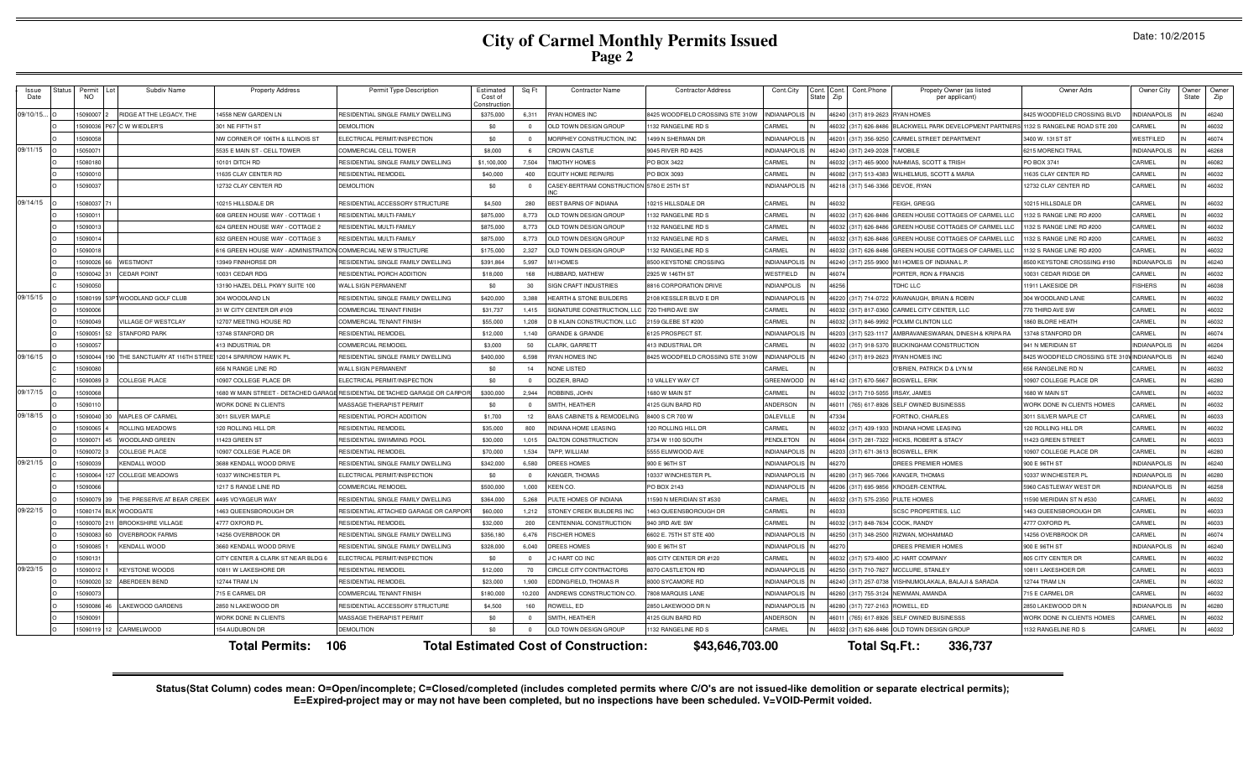# **City of Carmel Monthly Permits Issued Page 2**

| Date: 10/2/2015 |  |  |  |  |
|-----------------|--|--|--|--|
|-----------------|--|--|--|--|

| Issue<br>Date | Status | Permi<br><b>NO</b> | Subdiv Name                     | <b>Property Address</b>              | Permit Type Description                                                   | Estimated<br>Cost of<br>onstructic | Sq Ft          | <b>Contractor Name</b>                       | <b>Contractor Address</b>        | Cont.City           | Cont.<br>State | Cont<br>Zip | Cont.Phone           | Propety Owner (as listed<br>per applicant)   | Owner Adrs                        | Owner City          | Owner<br>State | Owne<br>Zip |
|---------------|--------|--------------------|---------------------------------|--------------------------------------|---------------------------------------------------------------------------|------------------------------------|----------------|----------------------------------------------|----------------------------------|---------------------|----------------|-------------|----------------------|----------------------------------------------|-----------------------------------|---------------------|----------------|-------------|
| 09/10/15.     |        | 5090007            | RIDGE AT THE LEGACY, THE        | 4558 NEW GARDEN LN                   | RESIDENTIAL SINGLE FAMILY DWELLING                                        | \$375,000                          | 6,311          | RYAN HOMES INC                               | 3425 WOODFIELD CROSSING STE 310W | <b>INDIANAPOLIS</b> |                | 46240       | (317) 819-2623       | <b>RYAN HOMES</b>                            | 3425 WOODFIELD CROSSING BLVD      | <b>INDIANAPOLIS</b> |                | 46240       |
|               |        | 15090036           | 67 C W WIEDLER'S                | 301 NE FIFTH ST                      | <b>DEMOLITION</b>                                                         | \$0                                | $\overline{0}$ | OLD TOWN DESIGN GROUP                        | 1132 RANGELINE RD 9              | CARMEL              |                | 46032       | (317) 626-848        | <b>BLACKWELL PARK DEVELOPMENT PARTNER</b>    | 1132 S RANGELINE ROAD STE 200     | CARMEL              |                | 46032       |
|               |        | 15090058           |                                 | NW CORNER OF 106TH & ILLINOIS ST     | ELECTRICAL PERMIT/INSPECTION                                              | \$0                                | $\overline{0}$ | MORPHEY CONSTRUCTION, INC                    | 1499 N SHERMAN DR                | <b>INDIANAPOLIS</b> |                | 46201       | (317) 356-925        | CARMEL STREET DEPARTMENT                     | 3400 W. 131ST ST                  | WESTFILED           |                | 46074       |
| 09/11/15      |        | 1505007            |                                 | 5535 E MAIN ST - CELL TOWER          | COMMERCIAL CELL TOWER                                                     | \$8,000                            | 6              | <b>CROWN CASTLE</b>                          | 9045 RIVER RD #425               | <b>INDIANAPOLIS</b> |                |             | 46240 (317) 249-2028 | T-MOBIL F                                    | <b>3215 MORENCI TRAIL</b>         | <b>INDIANAPOLIS</b> |                | 46268       |
|               |        | 15080180           |                                 | 10101 DITCH RD                       | RESIDENTIAL SINGLE FAMILY DWELLING                                        | \$1,100,000                        | 7,504          | <b>TIMOTHY HOMES</b>                         | PO BOX 3422                      | CARMEL              |                | 46032       | $(317)$ 465-900      | NAHMIAS, SCOTT & TRISH                       | PO BOX 3741                       | CARMEL              |                | 46082       |
|               |        | 1509001            |                                 | 1635 CLAY CENTER RD                  | RESIDENTIAL REMODEL                                                       | \$40,000                           | 400            | <b>EQUITY HOME REPAIRS</b>                   | PO BOX 3093                      | CARMEL              |                |             | 46082 (317) 513-4383 | WILHELMUS, SCOTT & MARIA                     | 11635 CLAY CENTER RD              | CARMEL              |                | 46032       |
|               |        | 5090037            |                                 | 12732 CLAY CENTER RD                 | <b>DEMOLITION</b>                                                         | \$0                                | $^{\circ}$     | CASEY-BERTRAM CONSTRUCTION 5780 E 25TH ST    |                                  | <b>INDIANAPOLIS</b> |                | 46218       | (317) 546-3366       | DEVOE, RYAN                                  | 12732 CLAY CENTER RD              | CARMEL              |                | 46032       |
| 09/14/15      |        | 5080037            |                                 | 0215 HILLSDALE DR                    | RESIDENTIAL ACCESSORY STRUCTURE                                           | \$4,500                            | 280            | <b>BEST BARNS OF INDIANA</b>                 | 10215 HILLSDALE DR               | CARMEL              |                |             |                      | <b>EIGH, GREGG</b>                           | 0215 HILLSDALE DR                 | CARMEL              |                | 46032       |
|               |        | 509001             |                                 | 608 GREEN HOUSE WAY - COTTAGE 1      | RESIDENTIAL MULTI-FAMILY                                                  | \$875,000                          | 8,773          | OLD TOWN DESIGN GROUP                        | 1132 RANGELINE RD S              | CARMEL              |                | 46032       | (317) 626-8486       | GREEN HOUSE COTTAGES OF CARMEL LLC           | 132 S RANGE LINE RD #200          | CARMEL              |                | 46032       |
|               |        | 1509001            |                                 | 624 GREEN HOUSE WAY - COTTAGE 2      | RESIDENTIAL MULTI-FAMILY                                                  | \$875,000                          | 8,773          | OLD TOWN DESIGN GROUP                        | 1132 RANGELINE RD S              | CARMEL              |                | 46032       | (317) 626-848        | GREEN HOUSE COTTAGES OF CARMEL LLC           | 132 S RANGE LINE RD #200          | CARMEL              |                | 46032       |
|               |        | 15090014           |                                 | 632 GREEN HOUSE WAY - COTTAGE 3      | RESIDENTIAL MULTI-FAMILY                                                  | \$875,000                          | 8.773          | OLD TOWN DESIGN GROUP                        | 1132 RANGELINE RD S              | CARMEL              |                | 46032       | $(317) 626 - 8486$   | GREEN HOUSE COTTAGES OF CARMEL LLC           | 132 S RANGE LINE RD #200          | CARMEL              |                | 46032       |
|               |        | 15090018           |                                 | 616 GREEN HOUSE WAY - ADMINISTRATION | COMMERCIAL NEW STRUCTURE                                                  | \$175,000                          | 2,327          | OLD TOWN DESIGN GROUP                        | 1132 RANGELINE RD S              | CARMEL              |                | 46032       | (317) 626-848        | GREEN HOUSE COTTAGES OF CARMEL LLC           | 1132 S RANGE LINE RD #200         | CARMEL              |                | 46032       |
|               |        | 1509002            | WESTMONT                        | 13949 FINNHORSE DR                   | RESIDENTIAL SINGLE FAMILY DWELLING                                        | \$391,864                          | 5,997          | M/I HOMES                                    | 8500 KEYSTONE CROSSING           | <b>INDIANAPOLI</b>  |                | 46240       | (317) 255-990        | M/I HOMES OF INDIANA L.P                     | 3500 KEYSTONE CROSSING #190       | <b>INDIANAPOLIS</b> |                | 46240       |
|               |        | 15090042           | <b>CEDAR POINT</b>              | 10031 CEDAR RDG                      | RESIDENTIAL PORCH ADDITION                                                | \$18,000                           | 168            | HUBBARD, MATHEW                              | 2925 W 146TH ST                  | WESTFIELD           |                | 46074       |                      | PORTER, RON & FRANCIS                        | 10031 CEDAR RIDGE DR              | CARMEL              |                | 46032       |
|               |        | 509005             |                                 | 13190 HAZEL DELL PKWY SUITE 100      | WALL SIGN PERMANENT                                                       | \$0                                | 30             | SIGN CRAFT INDUSTRIES                        | 8816 CORPORATION DRIVE           | <b>INDIANPOLIS</b>  |                |             |                      | TDHC LLC                                     | 11911 LAKESIDE DR                 | <b>FISHERS</b>      |                | 46038       |
| 09/15/15      |        | 1508019            | <sup>2</sup> WOODLAND GOLF CLUB | 304 WOODLAND LN                      | RESIDENTIAL SINGLE FAMILY DWELLING                                        | \$420,000                          | 3,388          | <b>HEARTH &amp; STONE BUILDERS</b>           | 2108 KESSLER BLVD E DR           | <b>INDIANAPOLI</b>  |                | 46220       | (317) 714-072        | KAVANAUGH, BRIAN & ROBIN                     | 304 WOODLAND LANE                 | CARMEL              |                | 46032       |
|               |        | 1509000            |                                 | 31 W CITY CENTER DR #109             | COMMERCIAL TENANT FINISH                                                  | \$31,737                           | 1,415          | SIGNATURE CONSTRUCTION, LLC                  | 720 THIRD AVE SW                 | CARMEL              |                | 16032       | (317) 817-036        | CARMEL CITY CENTER, LLC                      | 770 THIRD AVE SW                  | CARMEL              |                | 46032       |
|               |        | 1509004            | VILLAGE OF WESTCLAY             | 12707 MEETING HOUSE RD               | COMMERCIAL TENANT FINISH                                                  | \$55,000                           | 1,208          | D B KLAIN CONSTRUCTION, LLC                  | 2159 GLEBE ST #200               | CARMEL              |                | 46032       | $(317) 846 - 999$    | POLMM CLINTON LLC                            | 1860 BLORE HEATH                  | CARMEL              |                | 46032       |
|               |        | 509005             | <b>STANFORD PARK</b>            | 3748 STANFORD DR                     | RESIDENTIAL REMODEL                                                       | \$12,000                           | 1.140          | <b>GRANDE &amp; GRANDE</b>                   | 6125 PROSPECT ST                 | NDIANAPOLI          |                |             | 317) 523-111         | <b>MBRAVANESWARAN, DINESH &amp; KRIPA RA</b> | 3748 STANFORD DF                  | CARMEL              |                | 46074       |
|               |        | 1509005            |                                 | 13 INDUSTRIAL DF                     | COMMERCIAL REMODEL                                                        | \$3,000                            | 50             | CLARK, GARRETT                               | 113 INDUSTRIAL DR                | CARMEL              |                | \$6032      | 317) 918-537         | <b>BUCKINGHAM CONSTRUCTION</b>               | <b>941 N MERIDIAN ST</b>          | <b>INDIANAPOLIS</b> |                | 46204       |
| 09/16/15      |        | 15090044           | THE SANCTUARY AT 116TH STRE     | <b>2014 SPARROW HAWK PL</b>          | RESIDENTIAL SINGLE FAMILY DWELLING                                        | \$400,000                          | 6.598          | <b>RYAN HOMES INC</b>                        | 3425 WOODFIELD CROSSING STE 310V | NDIANAPOLI          |                | 46240       | 317) 819-262         | RYAN HOMES INC                               | 425 WOODFIELD CROSSING STE 31     | <b>INDIANAPOLIS</b> |                | 46240       |
|               |        | 5090080            |                                 | 556 N RANGE LINE RD                  | <b>WALL SIGN PERMANENT</b>                                                | \$0                                | 14             | <b>NONE LISTED</b>                           |                                  | <b>ARMEL</b>        |                |             |                      | <b>D'BRIEN, PATRICK D &amp; LYN M</b>        | <b>656 RANGELINE RD N</b>         | <b>CARMEL</b>       |                | 46032       |
|               |        | 15090089           | <b>COLLEGE PLACE</b>            | 10907 COLLEGE PLACE DR               | ELECTRICAL PERMIT/INSPECTION                                              | \$0                                | $^{\circ}$     | DOZIER, BRAD                                 | 10 VALLEY WAY CT                 | GREENWOOD           |                |             | 46142 (317) 670-566  | <b>BOSWELL, ERIK</b>                         | 0907 COLLEGE PLACE DR             | CARMEI              |                | 46280       |
| 09/17/15      |        | 15090068           |                                 |                                      | 680 W MAIN STREET - DETACHED GARAGE RESIDENTIAL DETACHED GARAGE OR CARPOI | \$300,000                          | 2,944          | ROBBINS, JOHN                                | 1680 W MAIN ST                   | CARMEL              |                | 46032       | (317) 710-5055       | <b>IRSAY, JAMES</b>                          | 1680 W MAIN ST                    | CARMEL              |                | 46032       |
|               |        | 1509011            |                                 | WORK DONE IN CLIENTS                 | MASSAGE THERAPIST PERMIT                                                  | \$0                                | $\overline{0}$ | SMITH, HEATHER                               | 4125 GUN BARD RD                 | ANDERSON            |                | 46011       | (765) 617-8926       | SELF OWNED BUSINESSS                         | WORK DONE IN CLIENTS HOMES        | CARMEL              |                | 46032       |
| 09/18/15      |        | 1509004            | MAPLES OF CARMEL                | 3011 SILVER MAPLE                    | RESIDENTIAL PORCH ADDITION                                                | \$1,700                            | 12             | <b>BAAS CABINETS &amp; REMODELING</b>        | 8400 S CR 700 W                  | <b>DALEVILLE</b>    |                | 47334       |                      | FORTINO, CHARLES                             | 3011 SILVER MAPLE CT              | CARMEL              |                | 46033       |
|               |        | 1509006            | ROLLING MEADOWS                 | 120 ROLLING HILL DR                  | RESIDENTIAL REMODEI                                                       | \$35,000                           | 800            | <b>INDIANA HOME LEASING</b>                  | 120 ROLLING HILL DR              | CARMEL              |                |             | 46032 (317) 439-1933 | <b>INDIANA HOME LEASING</b>                  | 120 ROLLING HILL DR               | CARMEL              |                | 46032       |
|               |        | 1509007            | <b>WOODLAND GREEN</b>           | 1423 GREEN ST                        | RESIDENTIAL SWIMMING POOL                                                 | \$30,000                           | 1.015          | <b>DALTON CONSTRUCTION</b>                   | 3734 W 1100 SOUTH                | PENDLETON           |                |             | 46064 (317) 281-7322 | <b>HICKS, ROBERT &amp; STACY</b>             | 1423 GREEN STREET                 | CARMEL              |                | 46033       |
|               |        | 150900             | <b>COLLEGE PLACE</b>            | 10907 COLLEGE PLACE DR               | RESIDENTIAL REMODEL                                                       | \$70,000                           | 1.534          | TAPP, WILLIAM                                | 5555 ELMWOOD AVE                 | INDIANAPOLIS        |                | 46203       | $(317) 671 - 3613$   | <b>BOSWELL, ERIK</b>                         | 10907 COLLEGE PLACE DR            | CARMEL              |                | 46280       |
| 09/21/15      |        | 1509003            | <b>KENDALL WOOD</b>             | 688 KENDALL WOOD DRIVE               | RESIDENTIAL SINGLE FAMILY DWELLING                                        | \$342,000                          | 6,580          | DREES HOMES                                  | 900 E 96TH ST                    | <b>INDIANAPOLIS</b> |                |             |                      | OREES PREMIER HOMES                          | 900 E 96TH ST                     | <b>INDIANAPOLIS</b> |                | 46240       |
|               |        | 1509006            | <b>COLLEGE MEADOWS</b>          | 10337 WINCHESTER PL                  | ELECTRICAL PERMIT/INSPECTION                                              | \$0                                | $\overline{0}$ | <b>KANGER, THOMAS</b>                        | 10337 WINCHESTER PL              | <b>INDIANAPOLI</b>  |                | 46280       | $(317)$ 965-706      | KANGER, THOMAS                               | 10337 WINCHESTER PI               | <b>INDIANAPOLIS</b> |                | 46280       |
|               |        | 1509006            |                                 | 1217 S RANGE LINE RD                 | COMMERCIAL REMODEL                                                        | \$500,000                          | 1,000          | KEEN CO.                                     | PO BOX 2143                      | <b>INDIANAPOLI</b>  |                | 46206       | (317) 695-985        | KROGER-CENTRA                                | 5960 CASTLEWAY WEST DF            | <b>INDIANAPOLIS</b> |                | 46258       |
|               |        | 50900              | THE PRESERVE AT BEAR CREEK      | 4495 VOYAGEUR WAY                    | RESIDENTIAL SINGLE FAMILY DWELLING                                        | \$364,000                          | 5.268          | PULTE HOMES OF INDIANA                       | 1590 N MERIDIAN ST #530          | CARMEL              |                | 16032       | (317) 575-235        | PULTE HOMES                                  | 1590 MERIDIAN ST N #530           | CARMEL              |                | 46032       |
| 09/22/15      |        | 1508017            | K WOODGATE                      | <b>463 QUEENSBOROUGH DR</b>          | RESIDENTIAL ATTACHED GARAGE OR CARPO                                      | \$60,000                           | 1,212          | STONEY CREEK BUILDERS INC                    | 1463 QUEENSBOROUGH DF            | CARMEL              |                |             |                      | <b>SCSC PROPERTIES, LLC</b>                  | 463 QUEENSBOROUGH DR              | CARMEL              |                | 46033       |
|               |        | 50900              | <b>BROOKSHIRE VILLAGE</b>       | 777 OXFORD P                         | RESIDENTIAL REMODEL                                                       | \$32,000                           | 200            | CENTENNIAL CONSTRUCTION                      | 940 3RD AVE SW                   | CARMEL              |                | 46032       | 317) 848-763         | COOK, RANDY                                  | 777 OXFORD PL                     | CARMEL              |                | 46033       |
|               |        | 5090083            | <b>OVERBROOK FARMS</b>          | 4256 OVERBROOK DR                    | RESIDENTIAL SINGLE FAMILY DWELLING                                        | \$356,180                          | 6.476          | <b>FISCHER HOMES</b>                         | 6602 E. 75TH ST STE 400          | <b>NDIANAPOLI</b>   |                | 46250       | (317) 348-2500       | RIZWAN, MOHAMMAD                             | 4256 OVERBROOK DR                 | CARMEL              |                | 46074       |
|               |        | 509008             | <b>KENDALL WOOD</b>             | 660 KENDALL WOOD DRIVE               | RESIDENTIAL SINGLE FAMILY DWELLING                                        | \$328,000                          | 6.040          | DREES HOMES                                  | 900 E 96TH ST                    | <b>NDIANAPOLIS</b>  |                |             |                      | OREES PREMIER HOMES                          | 900 E 96TH ST                     | <b>INDIANAPOLIS</b> |                | 46240       |
|               |        | 1509013            |                                 | CITY CENTER & CLARK ST NEAR BLDG 6   | ELECTRICAL PERMIT/INSPECTION                                              | \$0                                | $\overline{0}$ | <b>CHART COINC</b>                           | 805 CITY CENTER DR #120          | CARMEL              |                | 46032       | (317) 573-4800       | JC HART COMPANY                              | 805 CITY CENTER DR                | CARMEL              |                | 46032       |
| 09/23/15      |        | 1509001            | <b>KEYSTONE WOODS</b>           | 10811 W LAKESHORE DR                 | RESIDENTIAL REMODEL                                                       | \$12,000                           | 70             | CIRCLE CITY CONTRACTORS                      | 8070 CASTLETON RD                | <b>INDIANAPOLIS</b> |                | 46250       | (317) 710-782        | MCCLURE, STANLEY                             | 10811 LAKESHOER DR                | CARMEL              |                | 46033       |
|               |        | 1509002            | ABERDEEN BEND                   | <b>12744 TRAM LN</b>                 | RESIDENTIAL REMODEL                                                       | \$23,000                           | 1.900          | EDDINGFIELD, THOMAS R                        | 8000 SYCAMORE RD                 | <b>INDIANAPOLIS</b> |                |             | 46240 (317) 257-0738 | VISHNUMOLAKALA, BALAJI & SARADA              | 12744 TRAM LN                     | CARMEL              |                | 46032       |
|               |        | 1509007            |                                 | 715 E CARMEL DR                      | COMMERCIAL TENANT FINISH                                                  | \$180,000                          | 10,200         | ANDREWS CONSTRUCTION CO.                     | <b>7808 MARQUIS LANE</b>         | <b>INDIANAPOLIS</b> |                |             | 46260 (317) 755-3124 | NEWMAN, AMANDA                               | 715 E CARMEL DR                   | CARMEL              |                | 46032       |
|               |        | 1509008            | LAKEWOOD GARDENS                | 2850 N LAKEWOOD DR                   | RESIDENTIAL ACCESSORY STRUCTURE                                           | \$4,500                            | 160            | ROWELL, ED                                   | 2850 LAKEWOOD DR N               | <b>INDIANAPOLIS</b> |                |             | 46280 (317) 727-2163 | ROWELL, ED                                   | 2850 LAKEWOOD DR N                | <b>INDIANAPOLIS</b> |                | 46280       |
|               |        | 1509009            |                                 | <b>NORK DONE IN CLIENTS</b>          | MASSAGE THERAPIST PERMIT                                                  | \$0                                |                | SMITH, HEATHER                               | 4125 GUN BARD RD                 | <b>NDERSON</b>      |                | 46011       | 765) 617-8926        | SELF OWNED BUSINESSS                         | <b>NORK DONE IN CLIENTS HOMES</b> | CARMEL              |                | 46032       |
|               |        | 1509011            | CARMELWOOD                      | <b>154 AUDUBON DR</b>                | <b>DEMOLITION</b>                                                         | \$0                                | $\Omega$       | OLD TOWN DESIGN GROUP                        | 1132 RANGELINE RD S              | CARMEL              |                | 46032       | (317) 626-8486       | OLD TOWN DESIGN GROUP                        | 1132 RANGELINE RD S               | CARMEL              |                | 46032       |
|               |        |                    |                                 |                                      |                                                                           |                                    |                |                                              |                                  |                     |                |             |                      |                                              |                                   |                     |                |             |
|               |        |                    |                                 | 106<br><b>Total Permits:</b>         |                                                                           |                                    |                | <b>Total Estimated Cost of Construction:</b> | \$43,646,703.00                  |                     |                |             | Total Sq.Ft.:        | 336,737                                      |                                   |                     |                |             |

Status(Stat Column) codes mean: O=Open/incomplete; C=Closed/completed (includes completed permits where C/O's are not issued-like demolition or separate electrical permits);<br>E=Expired-project may or may not have been compl